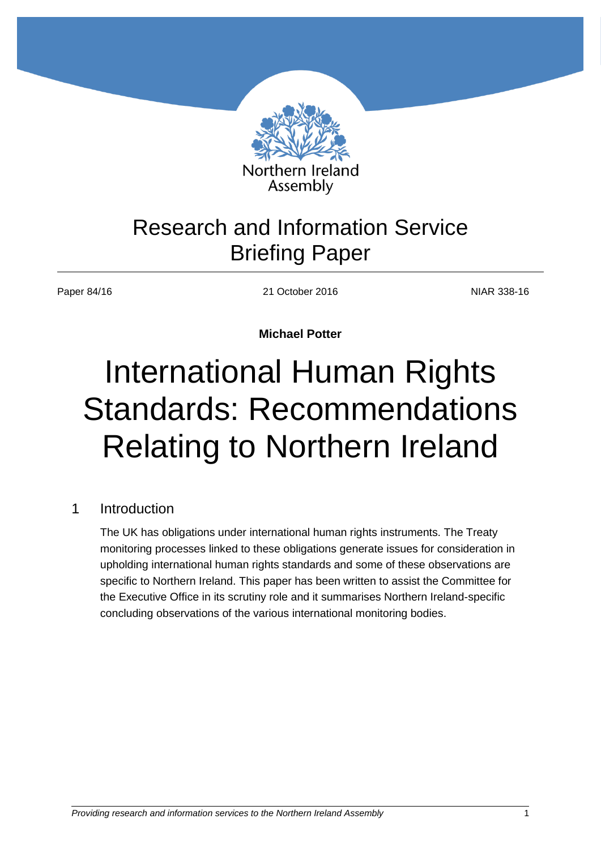

## Research and Information Service Briefing Paper

Paper 84/16 21 October 2016 2016 2016

**Michael Potter**

# International Human Rights Standards: Recommendations Relating to Northern Ireland

## 1 Introduction

The UK has obligations under international human rights instruments. The Treaty monitoring processes linked to these obligations generate issues for consideration in upholding international human rights standards and some of these observations are specific to Northern Ireland. This paper has been written to assist the Committee for the Executive Office in its scrutiny role and it summarises Northern Ireland-specific concluding observations of the various international monitoring bodies.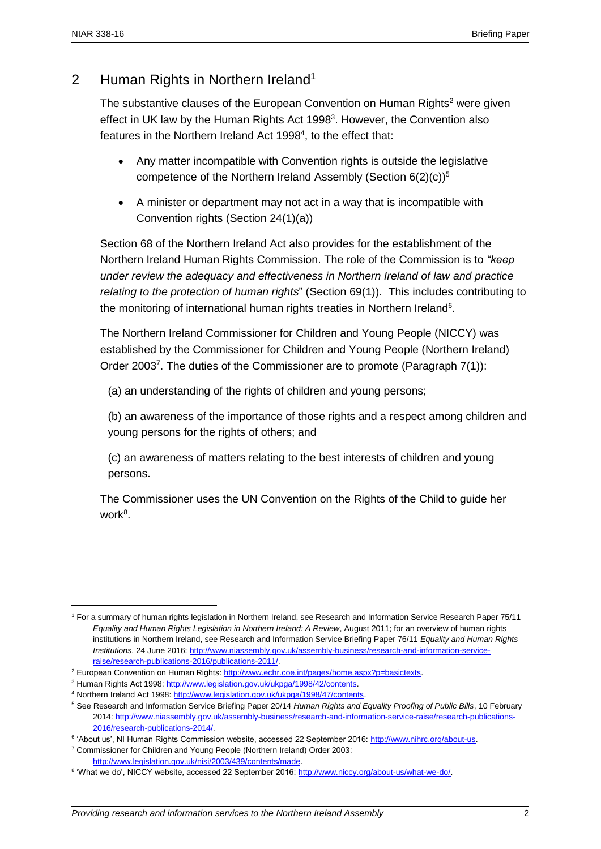## 2 Human Rights in Northern Ireland<sup>1</sup>

The substantive clauses of the European Convention on Human Rights<sup>2</sup> were given effect in UK law by the Human Rights Act 1998<sup>3</sup>. However, the Convention also features in the Northern Ireland Act 1998<sup>4</sup>, to the effect that:

- Any matter incompatible with Convention rights is outside the legislative competence of the Northern Ireland Assembly (Section  $6(2)(c)$ )<sup>5</sup>
- A minister or department may not act in a way that is incompatible with Convention rights (Section 24(1)(a))

Section 68 of the Northern Ireland Act also provides for the establishment of the Northern Ireland Human Rights Commission. The role of the Commission is to *"keep under review the adequacy and effectiveness in Northern Ireland of law and practice relating to the protection of human rights*" (Section 69(1)). This includes contributing to the monitoring of international human rights treaties in Northern Ireland<sup>6</sup>.

The Northern Ireland Commissioner for Children and Young People (NICCY) was established by the Commissioner for Children and Young People (Northern Ireland) Order 2003<sup>7</sup>. The duties of the Commissioner are to promote (Paragraph 7(1)):

(a) an understanding of the rights of children and young persons;

(b) an awareness of the importance of those rights and a respect among children and young persons for the rights of others; and

(c) an awareness of matters relating to the best interests of children and young persons.

The Commissioner uses the UN Convention on the Rights of the Child to guide her work<sup>8</sup>.

<sup>7</sup> Commissioner for Children and Young People (Northern Ireland) Order 2003: [http://www.legislation.gov.uk/nisi/2003/439/contents/made.](http://www.legislation.gov.uk/nisi/2003/439/contents/made) 

<sup>1</sup> For a summary of human rights legislation in Northern Ireland, see Research and Information Service Research Paper 75/11 *Equality and Human Rights Legislation in Northern Ireland: A Review*, August 2011; for an overview of human rights institutions in Northern Ireland, see Research and Information Service Briefing Paper 76/11 *Equality and Human Rights Institutions*, 24 June 2016: [http://www.niassembly.gov.uk/assembly-business/research-and-information-service](http://www.niassembly.gov.uk/assembly-business/research-and-information-service-raise/research-publications-2016/publications-2011/)[raise/research-publications-2016/publications-2011/.](http://www.niassembly.gov.uk/assembly-business/research-and-information-service-raise/research-publications-2016/publications-2011/) 

<sup>&</sup>lt;sup>2</sup> European Convention on Human Rights: [http://www.echr.coe.int/pages/home.aspx?p=basictexts.](http://www.echr.coe.int/pages/home.aspx?p=basictexts)

<sup>&</sup>lt;sup>3</sup> Human Rights Act 1998: http://www.legislation.gov.uk/ukpga/1998/42/contents.

<sup>4</sup> Northern Ireland Act 1998: [http://www.legislation.gov.uk/ukpga/1998/47/contents.](http://www.legislation.gov.uk/ukpga/1998/47/contents) 

<sup>5</sup> See Research and Information Service Briefing Paper 20/14 *Human Rights and Equality Proofing of Public Bills*, 10 February 2014[: http://www.niassembly.gov.uk/assembly-business/research-and-information-service-raise/research-publications-](http://www.niassembly.gov.uk/assembly-business/research-and-information-service-raise/research-publications-2016/research-publications-2014/)[2016/research-publications-2014/.](http://www.niassembly.gov.uk/assembly-business/research-and-information-service-raise/research-publications-2016/research-publications-2014/)

<sup>&</sup>lt;sup>6</sup> 'About us', NI Human Rights Commission website, accessed 22 September 2016: [http://www.nihrc.org/about-us.](http://www.nihrc.org/about-us)

<sup>&</sup>lt;sup>8</sup> 'What we do', NICCY website, accessed 22 September 2016: http://www.niccy.org/about-us/what-we-do/.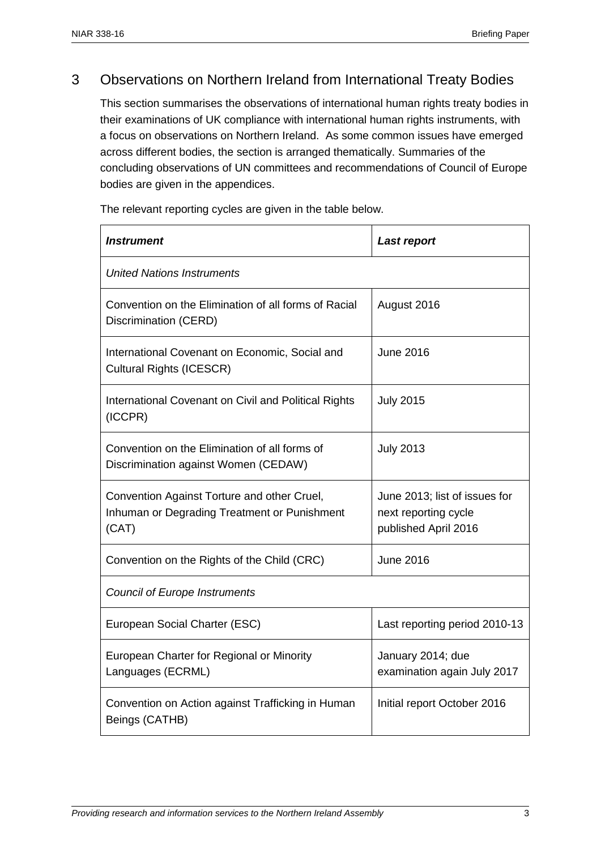## 3 Observations on Northern Ireland from International Treaty Bodies

This section summarises the observations of international human rights treaty bodies in their examinations of UK compliance with international human rights instruments, with a focus on observations on Northern Ireland. As some common issues have emerged across different bodies, the section is arranged thematically. Summaries of the concluding observations of UN committees and recommendations of Council of Europe bodies are given in the appendices.

The relevant reporting cycles are given in the table below.

| Instrument                                                                                           | <b>Last report</b>                                                            |  |  |  |  |  |
|------------------------------------------------------------------------------------------------------|-------------------------------------------------------------------------------|--|--|--|--|--|
| <b>United Nations Instruments</b>                                                                    |                                                                               |  |  |  |  |  |
| Convention on the Elimination of all forms of Racial<br>Discrimination (CERD)                        | August 2016                                                                   |  |  |  |  |  |
| International Covenant on Economic, Social and<br><b>Cultural Rights (ICESCR)</b>                    | <b>June 2016</b>                                                              |  |  |  |  |  |
| International Covenant on Civil and Political Rights<br>(ICCPR)                                      | <b>July 2015</b>                                                              |  |  |  |  |  |
| Convention on the Elimination of all forms of<br>Discrimination against Women (CEDAW)                | <b>July 2013</b>                                                              |  |  |  |  |  |
| Convention Against Torture and other Cruel,<br>Inhuman or Degrading Treatment or Punishment<br>(CAT) | June 2013; list of issues for<br>next reporting cycle<br>published April 2016 |  |  |  |  |  |
| Convention on the Rights of the Child (CRC)                                                          | <b>June 2016</b>                                                              |  |  |  |  |  |
| <b>Council of Europe Instruments</b>                                                                 |                                                                               |  |  |  |  |  |
| European Social Charter (ESC)                                                                        | Last reporting period 2010-13                                                 |  |  |  |  |  |
| European Charter for Regional or Minority<br>Languages (ECRML)                                       | January 2014; due<br>examination again July 2017                              |  |  |  |  |  |
| Convention on Action against Trafficking in Human<br>Beings (CATHB)                                  | Initial report October 2016                                                   |  |  |  |  |  |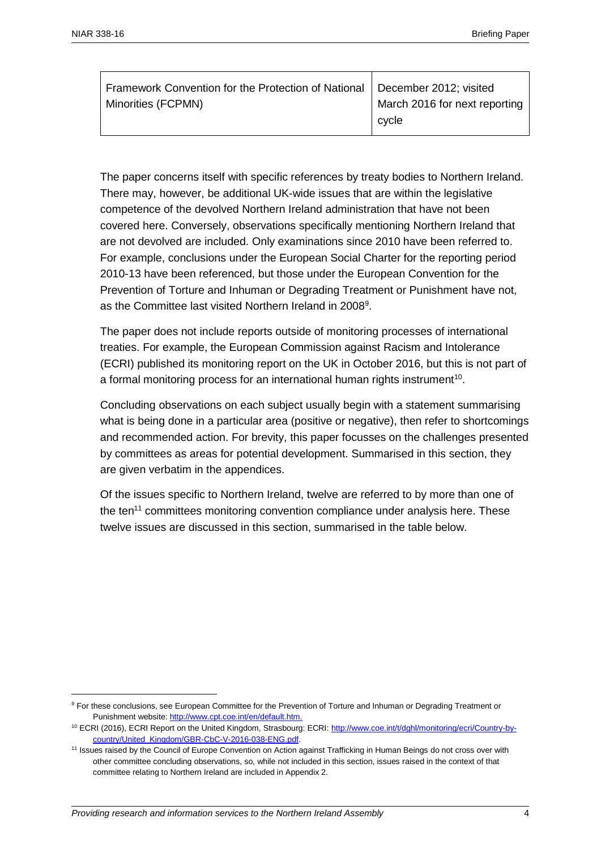| Framework Convention for the Protection of National   December 2012; visited |                               |
|------------------------------------------------------------------------------|-------------------------------|
| Minorities (FCPMN)                                                           | March 2016 for next reporting |
|                                                                              | cvcle                         |

The paper concerns itself with specific references by treaty bodies to Northern Ireland. There may, however, be additional UK-wide issues that are within the legislative competence of the devolved Northern Ireland administration that have not been covered here. Conversely, observations specifically mentioning Northern Ireland that are not devolved are included. Only examinations since 2010 have been referred to. For example, conclusions under the European Social Charter for the reporting period 2010-13 have been referenced, but those under the European Convention for the Prevention of Torture and Inhuman or Degrading Treatment or Punishment have not, as the Committee last visited Northern Ireland in 2008<sup>9</sup>.

The paper does not include reports outside of monitoring processes of international treaties. For example, the European Commission against Racism and Intolerance (ECRI) published its monitoring report on the UK in October 2016, but this is not part of a formal monitoring process for an international human rights instrument<sup>10</sup>.

Concluding observations on each subject usually begin with a statement summarising what is being done in a particular area (positive or negative), then refer to shortcomings and recommended action. For brevity, this paper focusses on the challenges presented by committees as areas for potential development. Summarised in this section, they are given verbatim in the appendices.

Of the issues specific to Northern Ireland, twelve are referred to by more than one of the ten<sup>11</sup> committees monitoring convention compliance under analysis here. These twelve issues are discussed in this section, summarised in the table below.

<sup>9</sup> For these conclusions, see European Committee for the Prevention of Torture and Inhuman or Degrading Treatment or Punishment website[: http://www.cpt.coe.int/en/default.htm.](http://www.cpt.coe.int/en/default.htm)

<sup>&</sup>lt;sup>10</sup> ECRI (2016), ECRI Report on the United Kingdom, Strasbourg: ECRI: [http://www.coe.int/t/dghl/monitoring/ecri/Country-by](http://www.coe.int/t/dghl/monitoring/ecri/Country-by-country/United_Kingdom/GBR-CbC-V-2016-038-ENG.pdf)[country/United\\_Kingdom/GBR-CbC-V-2016-038-ENG.pdf.](http://www.coe.int/t/dghl/monitoring/ecri/Country-by-country/United_Kingdom/GBR-CbC-V-2016-038-ENG.pdf)

<sup>11</sup> Issues raised by the Council of Europe Convention on Action against Trafficking in Human Beings do not cross over with other committee concluding observations, so, while not included in this section, issues raised in the context of that committee relating to Northern Ireland are included in Appendix 2.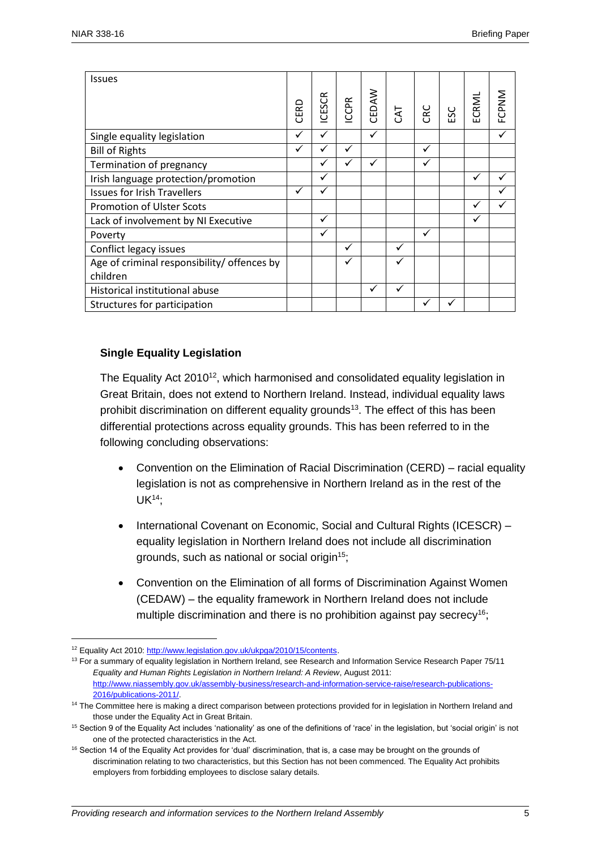| <b>Issues</b>                               | CERD         | <b>ICESCR</b> | <b>ICCPR</b> | CEDAW | CAT          | CRC | ပ္တ<br>$\blacksquare$ | ECRML        | FCPNM |
|---------------------------------------------|--------------|---------------|--------------|-------|--------------|-----|-----------------------|--------------|-------|
| Single equality legislation                 | $\checkmark$ | $\checkmark$  |              | ✓     |              |     |                       |              | ✓     |
| <b>Bill of Rights</b>                       |              |               | ✓            |       |              | ✓   |                       |              |       |
| Termination of pregnancy                    |              |               |              | ✓     |              |     |                       |              |       |
| Irish language protection/promotion         |              | ✓             |              |       |              |     |                       | $\checkmark$ |       |
| <b>Issues for Irish Travellers</b>          | $\checkmark$ |               |              |       |              |     |                       |              |       |
| <b>Promotion of Ulster Scots</b>            |              |               |              |       |              |     |                       | ✓            |       |
| Lack of involvement by NI Executive         |              | ✓             |              |       |              |     |                       | $\checkmark$ |       |
| Poverty                                     |              | ✓             |              |       |              | ✓   |                       |              |       |
| Conflict legacy issues                      |              |               | ✓            |       | $\checkmark$ |     |                       |              |       |
| Age of criminal responsibility/ offences by |              |               |              |       |              |     |                       |              |       |
| children                                    |              |               |              |       |              |     |                       |              |       |
| Historical institutional abuse              |              |               |              | ✓     | $\checkmark$ |     |                       |              |       |
| Structures for participation                |              |               |              |       |              |     |                       |              |       |

## **Single Equality Legislation**

The Equality Act 2010<sup>12</sup>, which harmonised and consolidated equality legislation in Great Britain, does not extend to Northern Ireland. Instead, individual equality laws prohibit discrimination on different equality grounds<sup>13</sup>. The effect of this has been differential protections across equality grounds. This has been referred to in the following concluding observations:

- Convention on the Elimination of Racial Discrimination (CERD) racial equality legislation is not as comprehensive in Northern Ireland as in the rest of the UK<sup>14</sup>;
- International Covenant on Economic, Social and Cultural Rights (ICESCR) equality legislation in Northern Ireland does not include all discrimination grounds, such as national or social origin<sup>15</sup>;
- Convention on the Elimination of all forms of Discrimination Against Women (CEDAW) – the equality framework in Northern Ireland does not include multiple discrimination and there is no prohibition against pay secrecy<sup>16</sup>;

<sup>&</sup>lt;sup>12</sup> Equality Act 2010[: http://www.legislation.gov.uk/ukpga/2010/15/contents.](http://www.legislation.gov.uk/ukpga/2010/15/contents)

<sup>&</sup>lt;sup>13</sup> For a summary of equality legislation in Northern Ireland, see Research and Information Service Research Paper 75/11 *Equality and Human Rights Legislation in Northern Ireland: A Review*, August 2011: [http://www.niassembly.gov.uk/assembly-business/research-and-information-service-raise/research-publications-](http://www.niassembly.gov.uk/assembly-business/research-and-information-service-raise/research-publications-2016/publications-2011/)[2016/publications-2011/.](http://www.niassembly.gov.uk/assembly-business/research-and-information-service-raise/research-publications-2016/publications-2011/)

<sup>&</sup>lt;sup>14</sup> The Committee here is making a direct comparison between protections provided for in legislation in Northern Ireland and those under the Equality Act in Great Britain.

<sup>&</sup>lt;sup>15</sup> Section 9 of the Equality Act includes 'nationality' as one of the definitions of 'race' in the legislation, but 'social origin' is not one of the protected characteristics in the Act.

 $16$  Section 14 of the Equality Act provides for 'dual' discrimination, that is, a case may be brought on the grounds of discrimination relating to two characteristics, but this Section has not been commenced. The Equality Act prohibits employers from forbidding employees to disclose salary details.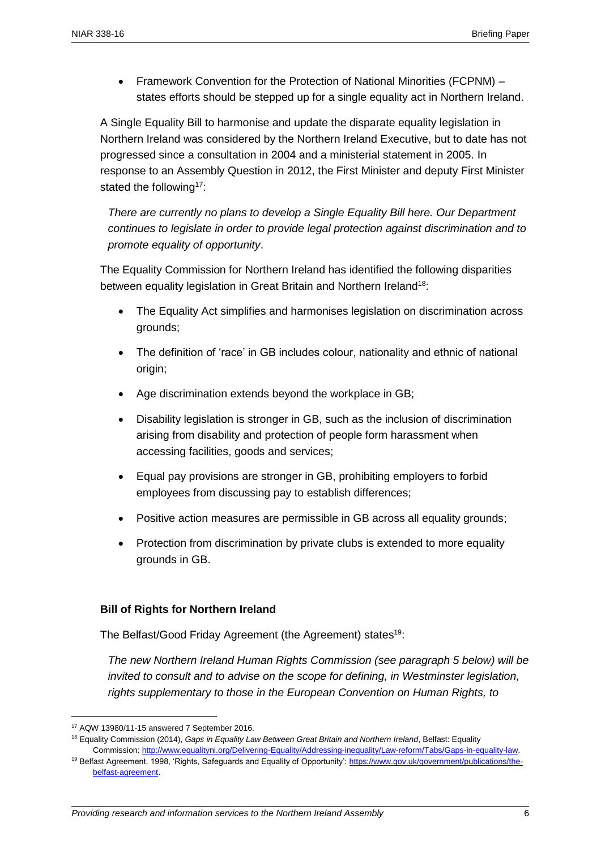• Framework Convention for the Protection of National Minorities (FCPNM) – states efforts should be stepped up for a single equality act in Northern Ireland.

A Single Equality Bill to harmonise and update the disparate equality legislation in Northern Ireland was considered by the Northern Ireland Executive, but to date has not progressed since a consultation in 2004 and a ministerial statement in 2005. In response to an Assembly Question in 2012, the First Minister and deputy First Minister stated the following<sup>17</sup>:

*There are currently no plans to develop a Single Equality Bill here. Our Department continues to legislate in order to provide legal protection against discrimination and to promote equality of opportunity*.

The Equality Commission for Northern Ireland has identified the following disparities between equality legislation in Great Britain and Northern Ireland<sup>18</sup>:

- The Equality Act simplifies and harmonises legislation on discrimination across grounds;
- The definition of 'race' in GB includes colour, nationality and ethnic of national origin;
- Age discrimination extends beyond the workplace in GB;
- Disability legislation is stronger in GB, such as the inclusion of discrimination arising from disability and protection of people form harassment when accessing facilities, goods and services;
- Equal pay provisions are stronger in GB, prohibiting employers to forbid employees from discussing pay to establish differences;
- Positive action measures are permissible in GB across all equality grounds:
- Protection from discrimination by private clubs is extended to more equality grounds in GB.

## **Bill of Rights for Northern Ireland**

The Belfast/Good Friday Agreement (the Agreement) states<sup>19</sup>:

*The new Northern Ireland Human Rights Commission (see paragraph 5 below) will be invited to consult and to advise on the scope for defining, in Westminster legislation, rights supplementary to those in the European Convention on Human Rights, to* 

<sup>17</sup> AQW 13980/11-15 answered 7 September 2016.

<sup>18</sup> Equality Commission (2014), *Gaps in Equality Law Between Great Britain and Northern Ireland*, Belfast: Equality Commission[: http://www.equalityni.org/Delivering-Equality/Addressing-inequality/Law-reform/Tabs/Gaps-in-equality-law.](http://www.equalityni.org/Delivering-Equality/Addressing-inequality/Law-reform/Tabs/Gaps-in-equality-law)

<sup>&</sup>lt;sup>19</sup> Belfast Agreement, 1998, 'Rights, Safeguards and Equality of Opportunity': [https://www.gov.uk/government/publications/the](https://www.gov.uk/government/publications/the-belfast-agreement)[belfast-agreement.](https://www.gov.uk/government/publications/the-belfast-agreement)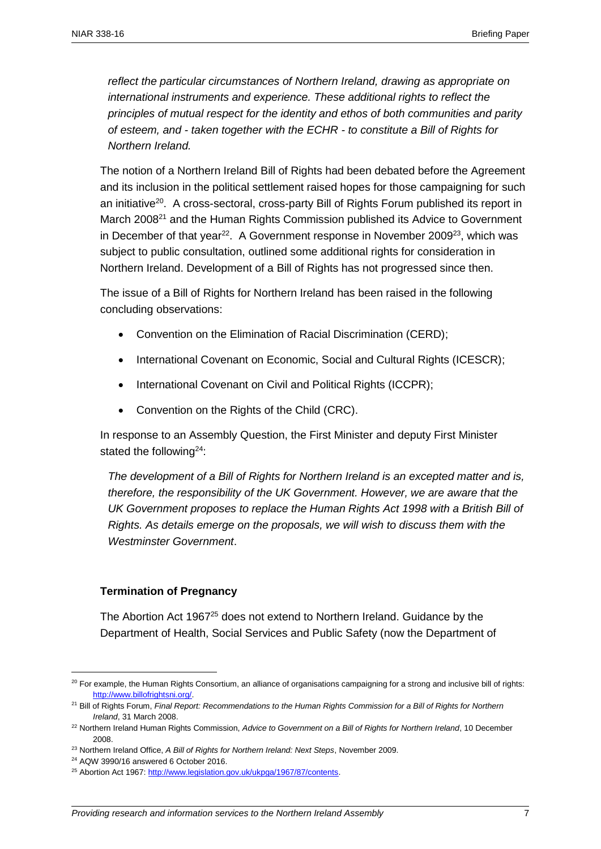*reflect the particular circumstances of Northern Ireland, drawing as appropriate on international instruments and experience. These additional rights to reflect the principles of mutual respect for the identity and ethos of both communities and parity of esteem, and - taken together with the ECHR - to constitute a Bill of Rights for Northern Ireland.*

The notion of a Northern Ireland Bill of Rights had been debated before the Agreement and its inclusion in the political settlement raised hopes for those campaigning for such an initiative<sup>20</sup>. A cross-sectoral, cross-party Bill of Rights Forum published its report in March 2008<sup>21</sup> and the Human Rights Commission published its Advice to Government in December of that year<sup>22</sup>. A Government response in November 2009<sup>23</sup>, which was subject to public consultation, outlined some additional rights for consideration in Northern Ireland. Development of a Bill of Rights has not progressed since then.

The issue of a Bill of Rights for Northern Ireland has been raised in the following concluding observations:

- Convention on the Elimination of Racial Discrimination (CERD);
- International Covenant on Economic, Social and Cultural Rights (ICESCR);
- International Covenant on Civil and Political Rights (ICCPR);
- Convention on the Rights of the Child (CRC).

In response to an Assembly Question, the First Minister and deputy First Minister stated the following<sup>24</sup>:

*The development of a Bill of Rights for Northern Ireland is an excepted matter and is, therefore, the responsibility of the UK Government. However, we are aware that the UK Government proposes to replace the Human Rights Act 1998 with a British Bill of Rights. As details emerge on the proposals, we will wish to discuss them with the Westminster Government*.

## **Termination of Pregnancy**

The Abortion Act 1967<sup>25</sup> does not extend to Northern Ireland. Guidance by the Department of Health, Social Services and Public Safety (now the Department of

 $20$  For example, the Human Rights Consortium, an alliance of organisations campaigning for a strong and inclusive bill of rights: [http://www.billofrightsni.org/.](http://www.billofrightsni.org/)

<sup>21</sup> Bill of Rights Forum, *Final Report: Recommendations to the Human Rights Commission for a Bill of Rights for Northern Ireland*, 31 March 2008.

<sup>22</sup> Northern Ireland Human Rights Commission, *Advice to Government on a Bill of Rights for Northern Ireland*, 10 December 2008.

<sup>23</sup> Northern Ireland Office, *A Bill of Rights for Northern Ireland: Next Steps*, November 2009.

<sup>24</sup> AQW 3990/16 answered 6 October 2016.

<sup>&</sup>lt;sup>25</sup> Abortion Act 1967: http://www.legislation.gov.uk/ukpga/1967/87/contents.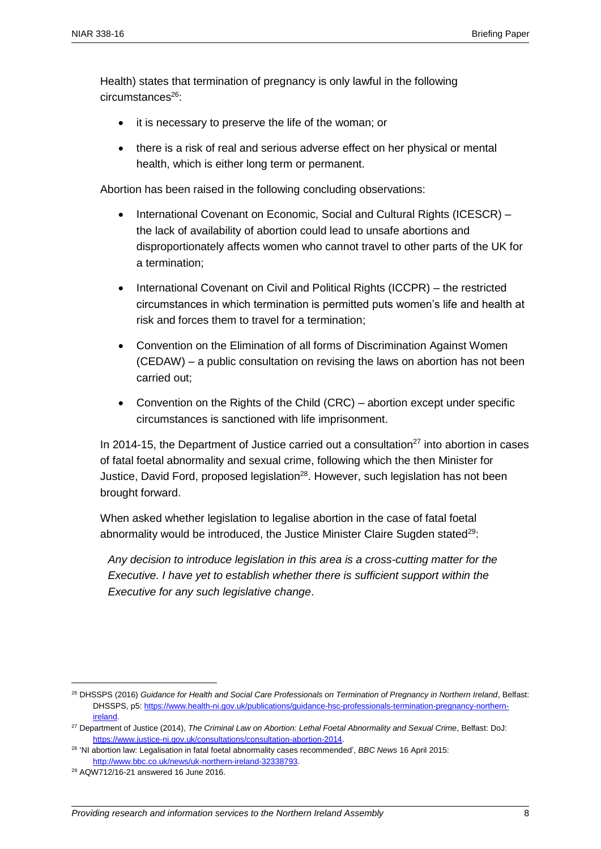Health) states that termination of pregnancy is only lawful in the following circumstances<sup>26</sup>:

- it is necessary to preserve the life of the woman; or
- there is a risk of real and serious adverse effect on her physical or mental health, which is either long term or permanent.

Abortion has been raised in the following concluding observations:

- International Covenant on Economic, Social and Cultural Rights (ICESCR) the lack of availability of abortion could lead to unsafe abortions and disproportionately affects women who cannot travel to other parts of the UK for a termination;
- International Covenant on Civil and Political Rights (ICCPR) the restricted circumstances in which termination is permitted puts women's life and health at risk and forces them to travel for a termination;
- Convention on the Elimination of all forms of Discrimination Against Women (CEDAW) – a public consultation on revising the laws on abortion has not been carried out;
- Convention on the Rights of the Child (CRC) abortion except under specific circumstances is sanctioned with life imprisonment.

In 2014-15, the Department of Justice carried out a consultation<sup>27</sup> into abortion in cases of fatal foetal abnormality and sexual crime, following which the then Minister for Justice, David Ford, proposed legislation<sup>28</sup>. However, such legislation has not been brought forward.

When asked whether legislation to legalise abortion in the case of fatal foetal abnormality would be introduced, the Justice Minister Claire Sugden stated<sup>29</sup>:

*Any decision to introduce legislation in this area is a cross-cutting matter for the Executive. I have yet to establish whether there is sufficient support within the Executive for any such legislative change*.

<sup>26</sup> DHSSPS (2016) *Guidance for Health and Social Care Professionals on Termination of Pregnancy in Northern Ireland*, Belfast: DHSSPS, p5: [https://www.health-ni.gov.uk/publications/guidance-hsc-professionals-termination-pregnancy-northern](https://www.health-ni.gov.uk/publications/guidance-hsc-professionals-termination-pregnancy-northern-ireland)[ireland.](https://www.health-ni.gov.uk/publications/guidance-hsc-professionals-termination-pregnancy-northern-ireland)

<sup>27</sup> Department of Justice (2014), *The Criminal Law on Abortion: Lethal Foetal Abnormality and Sexual Crime*, Belfast: DoJ: [https://www.justice-ni.gov.uk/consultations/consultation-abortion-2014.](https://www.justice-ni.gov.uk/consultations/consultation-abortion-2014)

<sup>28</sup> 'NI abortion law: Legalisation in fatal foetal abnormality cases recommended', *BBC News* 16 April 2015: [http://www.bbc.co.uk/news/uk-northern-ireland-32338793.](http://www.bbc.co.uk/news/uk-northern-ireland-32338793)

<sup>29</sup> AQW712/16-21 answered 16 June 2016.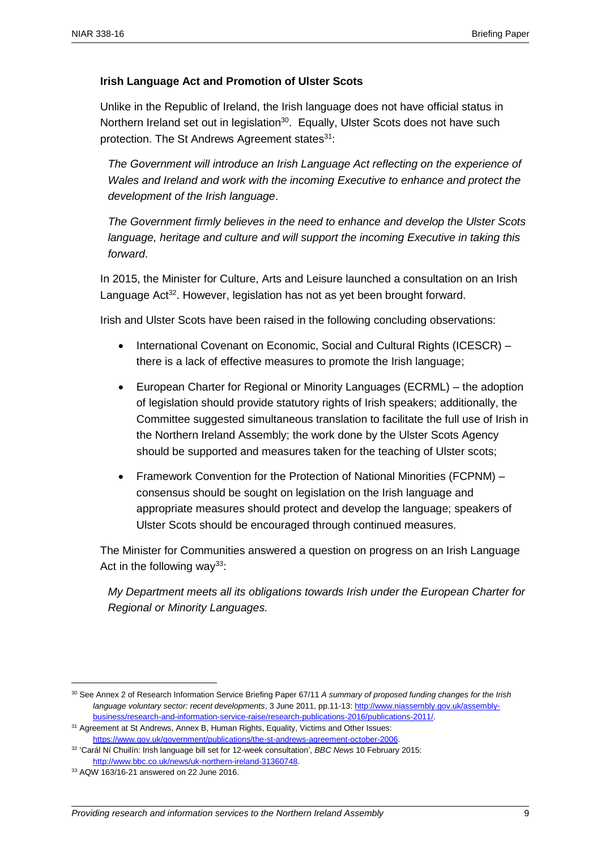## **Irish Language Act and Promotion of Ulster Scots**

Unlike in the Republic of Ireland, the Irish language does not have official status in Northern Ireland set out in legislation<sup>30</sup>. Equally, Ulster Scots does not have such protection. The St Andrews Agreement states<sup>31</sup>:

*The Government will introduce an Irish Language Act reflecting on the experience of Wales and Ireland and work with the incoming Executive to enhance and protect the development of the Irish language*.

*The Government firmly believes in the need to enhance and develop the Ulster Scots language, heritage and culture and will support the incoming Executive in taking this forward*.

In 2015, the Minister for Culture, Arts and Leisure launched a consultation on an Irish Language Act<sup>32</sup>. However, legislation has not as yet been brought forward.

Irish and Ulster Scots have been raised in the following concluding observations:

- International Covenant on Economic, Social and Cultural Rights (ICESCR) there is a lack of effective measures to promote the Irish language;
- European Charter for Regional or Minority Languages (ECRML) the adoption of legislation should provide statutory rights of Irish speakers; additionally, the Committee suggested simultaneous translation to facilitate the full use of Irish in the Northern Ireland Assembly; the work done by the Ulster Scots Agency should be supported and measures taken for the teaching of Ulster scots;
- Framework Convention for the Protection of National Minorities (FCPNM) consensus should be sought on legislation on the Irish language and appropriate measures should protect and develop the language; speakers of Ulster Scots should be encouraged through continued measures.

The Minister for Communities answered a question on progress on an Irish Language Act in the following way<sup>33</sup>:

*My Department meets all its obligations towards Irish under the European Charter for Regional or Minority Languages.*

<sup>30</sup> See Annex 2 of Research Information Service Briefing Paper 67/11 *A summary of proposed funding changes for the Irish language voluntary sector: recent developments*, 3 June 2011, pp.11-13[: http://www.niassembly.gov.uk/assembly](http://www.niassembly.gov.uk/assembly-business/research-and-information-service-raise/research-publications-2016/publications-2011/)[business/research-and-information-service-raise/research-publications-2016/publications-2011/.](http://www.niassembly.gov.uk/assembly-business/research-and-information-service-raise/research-publications-2016/publications-2011/)

<sup>&</sup>lt;sup>31</sup> Agreement at St Andrews, Annex B, Human Rights, Equality, Victims and Other Issues: [https://www.gov.uk/government/publications/the-st-andrews-agreement-october-2006.](https://www.gov.uk/government/publications/the-st-andrews-agreement-october-2006)

<sup>32</sup> 'Carál Ní Chuilín: Irish language bill set for 12-week consultation', *BBC News* 10 February 2015: [http://www.bbc.co.uk/news/uk-northern-ireland-31360748.](http://www.bbc.co.uk/news/uk-northern-ireland-31360748)

<sup>33</sup> AQW 163/16-21 answered on 22 June 2016.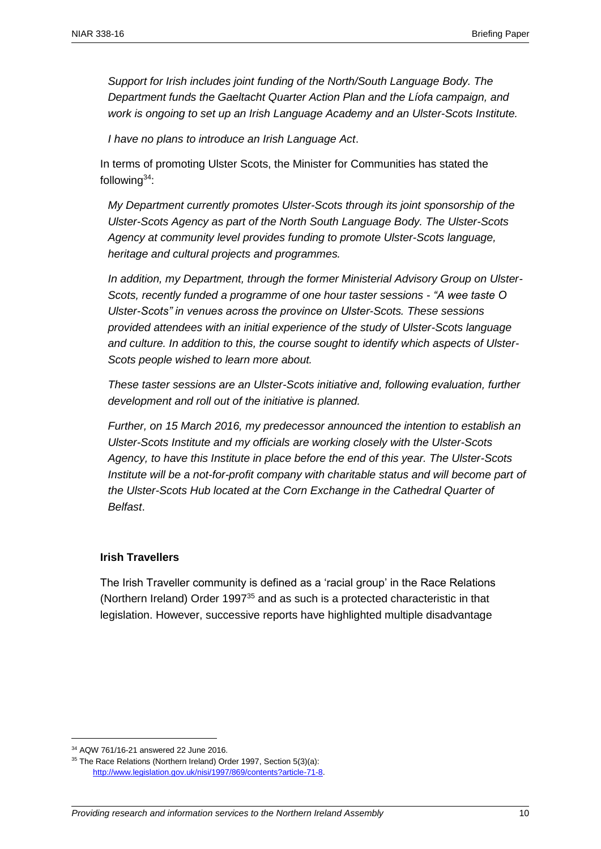*Support for Irish includes joint funding of the North/South Language Body. The Department funds the Gaeltacht Quarter Action Plan and the Líofa campaign, and work is ongoing to set up an Irish Language Academy and an Ulster-Scots Institute.*

*I have no plans to introduce an Irish Language Act*.

In terms of promoting Ulster Scots, the Minister for Communities has stated the following $34$ :

*My Department currently promotes Ulster-Scots through its joint sponsorship of the Ulster-Scots Agency as part of the North South Language Body. The Ulster-Scots Agency at community level provides funding to promote Ulster-Scots language, heritage and cultural projects and programmes.*

*In addition, my Department, through the former Ministerial Advisory Group on Ulster-Scots, recently funded a programme of one hour taster sessions - "A wee taste O Ulster-Scots" in venues across the province on Ulster-Scots. These sessions provided attendees with an initial experience of the study of Ulster-Scots language and culture. In addition to this, the course sought to identify which aspects of Ulster-Scots people wished to learn more about.* 

*These taster sessions are an Ulster-Scots initiative and, following evaluation, further development and roll out of the initiative is planned.* 

*Further, on 15 March 2016, my predecessor announced the intention to establish an Ulster-Scots Institute and my officials are working closely with the Ulster-Scots Agency, to have this Institute in place before the end of this year. The Ulster-Scots Institute will be a not-for-profit company with charitable status and will become part of the Ulster-Scots Hub located at the Corn Exchange in the Cathedral Quarter of Belfast*.

#### **Irish Travellers**

The Irish Traveller community is defined as a 'racial group' in the Race Relations (Northern Ireland) Order 1997<sup>35</sup> and as such is a protected characteristic in that legislation. However, successive reports have highlighted multiple disadvantage

<sup>34</sup> AQW 761/16-21 answered 22 June 2016.

<sup>&</sup>lt;sup>35</sup> The Race Relations (Northern Ireland) Order 1997, Section 5(3)(a): [http://www.legislation.gov.uk/nisi/1997/869/contents?article-71-8.](http://www.legislation.gov.uk/nisi/1997/869/contents?article-71-8)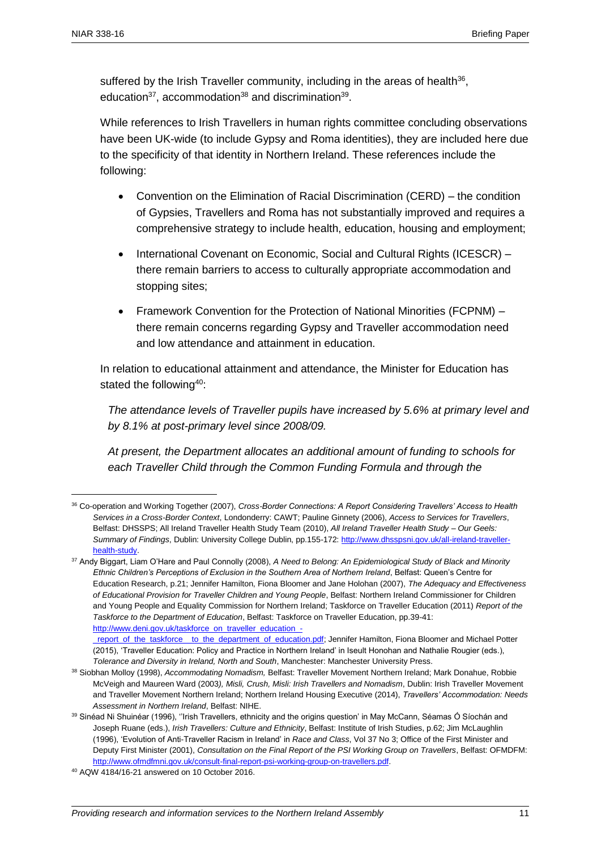suffered by the Irish Traveller community, including in the areas of health<sup>36</sup>, education<sup>37</sup>, accommodation<sup>38</sup> and discrimination<sup>39</sup>.

While references to Irish Travellers in human rights committee concluding observations have been UK-wide (to include Gypsy and Roma identities), they are included here due to the specificity of that identity in Northern Ireland. These references include the following:

- Convention on the Elimination of Racial Discrimination (CERD) the condition of Gypsies, Travellers and Roma has not substantially improved and requires a comprehensive strategy to include health, education, housing and employment;
- International Covenant on Economic, Social and Cultural Rights (ICESCR) there remain barriers to access to culturally appropriate accommodation and stopping sites:
- Framework Convention for the Protection of National Minorities (FCPNM) there remain concerns regarding Gypsy and Traveller accommodation need and low attendance and attainment in education.

In relation to educational attainment and attendance, the Minister for Education has stated the following<sup>40</sup>:

*The attendance levels of Traveller pupils have increased by 5.6% at primary level and by 8.1% at post-primary level since 2008/09.* 

*At present, the Department allocates an additional amount of funding to schools for*  each Traveller Child through the Common Funding Formula and through the

<sup>36</sup> Co-operation and Working Together (2007), *Cross-Border Connections: A Report Considering Travellers' Access to Health Services in a Cross-Border Context*, Londonderry: CAWT; Pauline Ginnety (2006), *Access to Services for Travellers*, Belfast: DHSSPS; All Ireland Traveller Health Study Team (2010), *All Ireland Traveller Health Study – Our Geels: Summary of Findings*, Dublin: University College Dublin, pp.155-172: [http://www.dhsspsni.gov.uk/all-ireland-traveller](http://www.dhsspsni.gov.uk/all-ireland-traveller-health-study)[health-study.](http://www.dhsspsni.gov.uk/all-ireland-traveller-health-study)

<sup>37</sup> Andy Biggart, Liam O'Hare and Paul Connolly (2008), *A Need to Belong: An Epidemiological Study of Black and Minority Ethnic Children's Perceptions of Exclusion in the Southern Area of Northern Ireland*, Belfast: Queen's Centre for Education Research, p.21; Jennifer Hamilton, Fiona Bloomer and Jane Holohan (2007), *The Adequacy and Effectiveness of Educational Provision for Traveller Children and Young People*, Belfast: Northern Ireland Commissioner for Children and Young People and Equality Commission for Northern Ireland; Taskforce on Traveller Education (2011) *Report of the Taskforce to the Department of Education*, Belfast: Taskforce on Traveller Education, pp.39-41: [http://www.deni.gov.uk/taskforce\\_on\\_traveller\\_education\\_-](http://www.deni.gov.uk/taskforce_on_traveller_education_-_report_of_the_taskforce__to_the_department_of_education.pdf) \_report\_of\_the\_taskforce\_to\_the\_department\_of\_education.pdf; Jennifer Hamilton, Fiona Bloomer and Michael Potter

<sup>(2015), &#</sup>x27;Traveller Education: Policy and Practice in Northern Ireland' in Iseult Honohan and Nathalie Rougier (eds.), *Tolerance and Diversity in Ireland, North and South*, Manchester: Manchester University Press.

<sup>38</sup> Siobhan Molloy (1998), *Accommodating Nomadism,* Belfast: Traveller Movement Northern Ireland; Mark Donahue, Robbie McVeigh and Maureen Ward (2003*), Misli, Crush, Misli: Irish Travellers and Nomadism*, Dublin: Irish Traveller Movement and Traveller Movement Northern Ireland; Northern Ireland Housing Executive (2014), *Travellers' Accommodation: Needs Assessment in Northern Ireland*, Belfast: NIHE.

<sup>&</sup>lt;sup>39</sup> Sinéad Ni Shuinéar (1996), ''Irish Travellers, ethnicity and the origins question' in May McCann, Séamas Ó Síochán and Joseph Ruane (eds.), *Irish Travellers: Culture and Ethnicity*, Belfast: Institute of Irish Studies, p.62; Jim McLaughlin (1996), 'Evolution of Anti-Traveller Racism in Ireland' in *Race and Class*, Vol 37 No 3; Office of the First Minister and Deputy First Minister (2001), *Consultation on the Final Report of the PSI Working Group on Travellers*, Belfast: OFMDFM: [http://www.ofmdfmni.gov.uk/consult-final-report-psi-working-group-on-travellers.pdf.](http://www.ofmdfmni.gov.uk/consult-final-report-psi-working-group-on-travellers.pdf)

<sup>40</sup> AQW 4184/16-21 answered on 10 October 2016.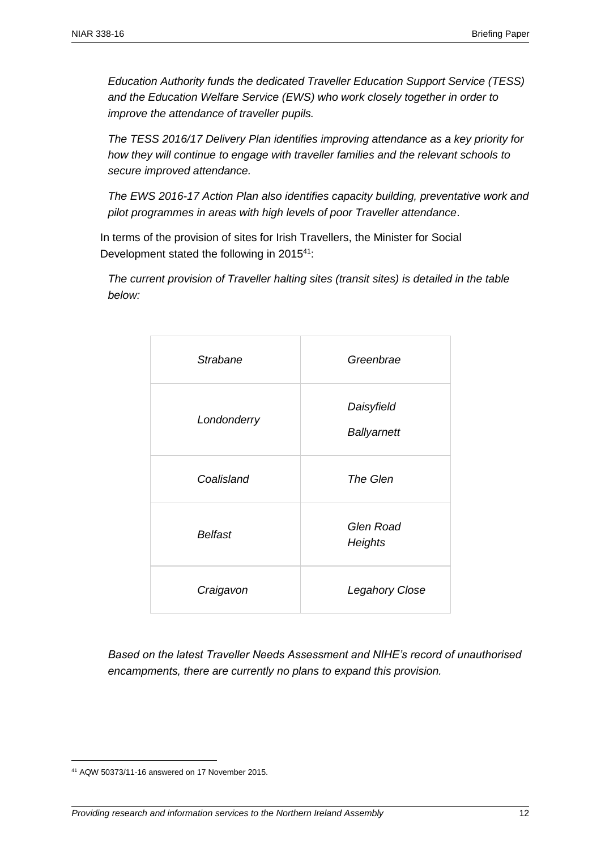*Education Authority funds the dedicated Traveller Education Support Service (TESS) and the Education Welfare Service (EWS) who work closely together in order to improve the attendance of traveller pupils.*

*The TESS 2016/17 Delivery Plan identifies improving attendance as a key priority for how they will continue to engage with traveller families and the relevant schools to secure improved attendance.* 

*The EWS 2016-17 Action Plan also identifies capacity building, preventative work and pilot programmes in areas with high levels of poor Traveller attendance*.

In terms of the provision of sites for Irish Travellers, the Minister for Social Development stated the following in 2015<sup>41</sup>:

*The current provision of Traveller halting sites (transit sites) is detailed in the table below:*

| <b>Strabane</b> | Greenbrae                        |  |  |  |
|-----------------|----------------------------------|--|--|--|
| Londonderry     | Daisyfield<br><b>Ballyarnett</b> |  |  |  |
| Coalisland      | The Glen                         |  |  |  |
| <b>Belfast</b>  | <b>Glen Road</b><br>Heights      |  |  |  |
| Craigavon       | <b>Legahory Close</b>            |  |  |  |

*Based on the latest Traveller Needs Assessment and NIHE's record of unauthorised encampments, there are currently no plans to expand this provision.*

<sup>41</sup> AQW 50373/11-16 answered on 17 November 2015.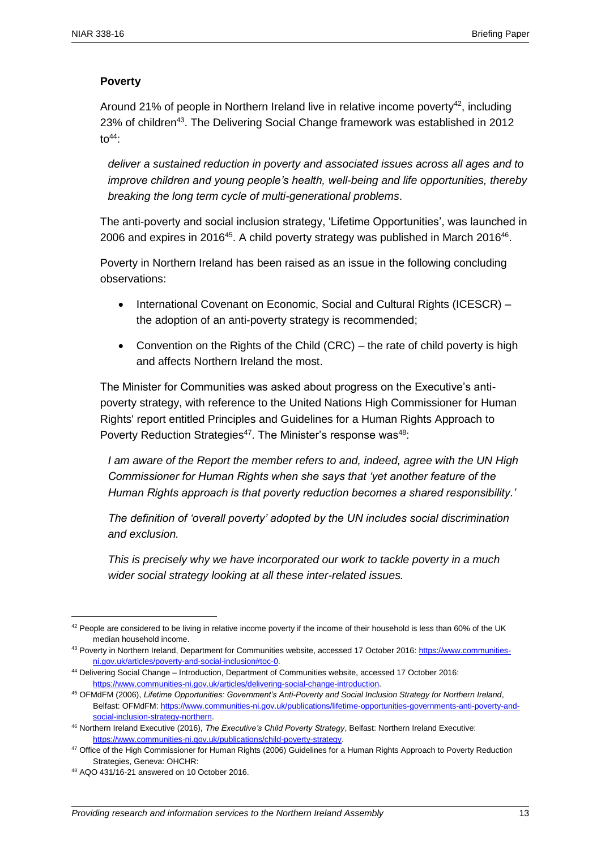## **Poverty**

Around 21% of people in Northern Ireland live in relative income poverty<sup>42</sup>, including 23% of children<sup>43</sup>. The Delivering Social Change framework was established in 2012  $to<sup>44</sup>$ :

*deliver a sustained reduction in poverty and associated issues across all ages and to improve children and young people's health, well-being and life opportunities, thereby breaking the long term cycle of multi-generational problems*.

The anti-poverty and social inclusion strategy, 'Lifetime Opportunities', was launched in 2006 and expires in 2016<sup>45</sup>. A child poverty strategy was published in March 2016<sup>46</sup>.

Poverty in Northern Ireland has been raised as an issue in the following concluding observations:

- International Covenant on Economic, Social and Cultural Rights (ICESCR) the adoption of an anti-poverty strategy is recommended;
- Convention on the Rights of the Child (CRC) the rate of child poverty is high and affects Northern Ireland the most.

The Minister for Communities was asked about progress on the Executive's antipoverty strategy, with reference to the United Nations High Commissioner for Human Rights' report entitled Principles and Guidelines for a Human Rights Approach to Poverty Reduction Strategies<sup>47</sup>. The Minister's response was<sup>48</sup>:

*I am aware of the Report the member refers to and, indeed, agree with the UN High Commissioner for Human Rights when she says that 'yet another feature of the Human Rights approach is that poverty reduction becomes a shared responsibility.'*

*The definition of 'overall poverty' adopted by the UN includes social discrimination and exclusion.* 

*This is precisely why we have incorporated our work to tackle poverty in a much wider social strategy looking at all these inter-related issues.* 

 $42$  People are considered to be living in relative income poverty if the income of their household is less than 60% of the UK median household income.

<sup>43</sup> Poverty in Northern Ireland, Department for Communities website, accessed 17 October 2016: [https://www.communities](https://www.communities-ni.gov.uk/articles/poverty-and-social-inclusion#toc-0)[ni.gov.uk/articles/poverty-and-social-inclusion#toc-0.](https://www.communities-ni.gov.uk/articles/poverty-and-social-inclusion#toc-0) 

<sup>44</sup> Delivering Social Change – Introduction, Department of Communities website, accessed 17 October 2016: [https://www.communities-ni.gov.uk/articles/delivering-social-change-introduction.](https://www.communities-ni.gov.uk/articles/delivering-social-change-introduction) 

<sup>45</sup> OFMdFM (2006), *Lifetime Opportunities: Government's Anti-Poverty and Social Inclusion Strategy for Northern Ireland*, Belfast: OFMdFM[: https://www.communities-ni.gov.uk/publications/lifetime-opportunities-governments-anti-poverty-and](https://www.communities-ni.gov.uk/publications/lifetime-opportunities-governments-anti-poverty-and-social-inclusion-strategy-northern)[social-inclusion-strategy-northern.](https://www.communities-ni.gov.uk/publications/lifetime-opportunities-governments-anti-poverty-and-social-inclusion-strategy-northern)

<sup>46</sup> Northern Ireland Executive (2016), *The Executive's Child Poverty Strategy*, Belfast: Northern Ireland Executive: [https://www.communities-ni.gov.uk/publications/child-poverty-strategy.](https://www.communities-ni.gov.uk/publications/child-poverty-strategy) 

<sup>47</sup> Office of the High Commissioner for Human Rights (2006) Guidelines for a Human Rights Approach to Poverty Reduction Strategies, Geneva: OHCHR:

<sup>48</sup> AQO 431/16-21 answered on 10 October 2016.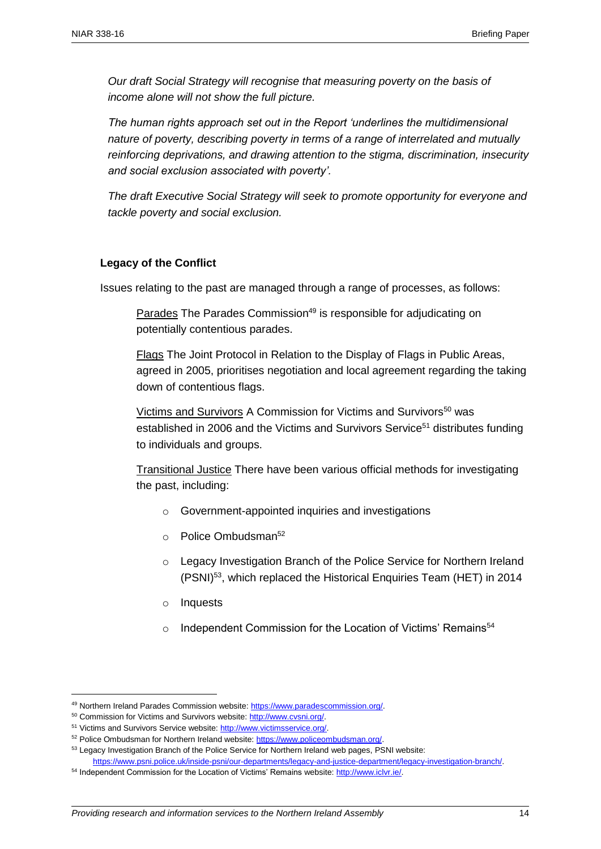*Our draft Social Strategy will recognise that measuring poverty on the basis of income alone will not show the full picture.* 

*The human rights approach set out in the Report 'underlines the multidimensional nature of poverty, describing poverty in terms of a range of interrelated and mutually reinforcing deprivations, and drawing attention to the stigma, discrimination, insecurity and social exclusion associated with poverty'.*

*The draft Executive Social Strategy will seek to promote opportunity for everyone and tackle poverty and social exclusion.*

#### **Legacy of the Conflict**

Issues relating to the past are managed through a range of processes, as follows:

Parades The Parades Commission<sup>49</sup> is responsible for adjudicating on potentially contentious parades.

Flags The Joint Protocol in Relation to the Display of Flags in Public Areas, agreed in 2005, prioritises negotiation and local agreement regarding the taking down of contentious flags.

Victims and Survivors A Commission for Victims and Survivors<sup>50</sup> was established in 2006 and the Victims and Survivors Service<sup>51</sup> distributes funding to individuals and groups.

Transitional Justice There have been various official methods for investigating the past, including:

- o Government-appointed inquiries and investigations
- $\circ$  Police Ombudsman<sup>52</sup>
- o Legacy Investigation Branch of the Police Service for Northern Ireland (PSNI)<sup>53</sup>, which replaced the Historical Enquiries Team (HET) in 2014
- o Inquests
- o Independent Commission for the Location of Victims' Remains<sup>54</sup>

<sup>49</sup> Northern Ireland Parades Commission website[: https://www.paradescommission.org/.](https://www.paradescommission.org/) 

<sup>50</sup> Commission for Victims and Survivors website: [http://www.cvsni.org/.](http://www.cvsni.org/)

<sup>51</sup> Victims and Survivors Service website: [http://www.victimsservice.org/.](http://www.victimsservice.org/) 

<sup>52</sup> Police Ombudsman for Northern Ireland website: [https://www.policeombudsman.org/.](https://www.policeombudsman.org/) 

<sup>53</sup> Legacy Investigation Branch of the Police Service for Northern Ireland web pages, PSNI website:

[https://www.psni.police.uk/inside-psni/our-departments/legacy-and-justice-department/legacy-investigation-branch/.](https://www.psni.police.uk/inside-psni/our-departments/legacy-and-justice-department/legacy-investigation-branch/) 54 Independent Commission for the Location of Victims' Remains website: http://www.iclvr.ie/.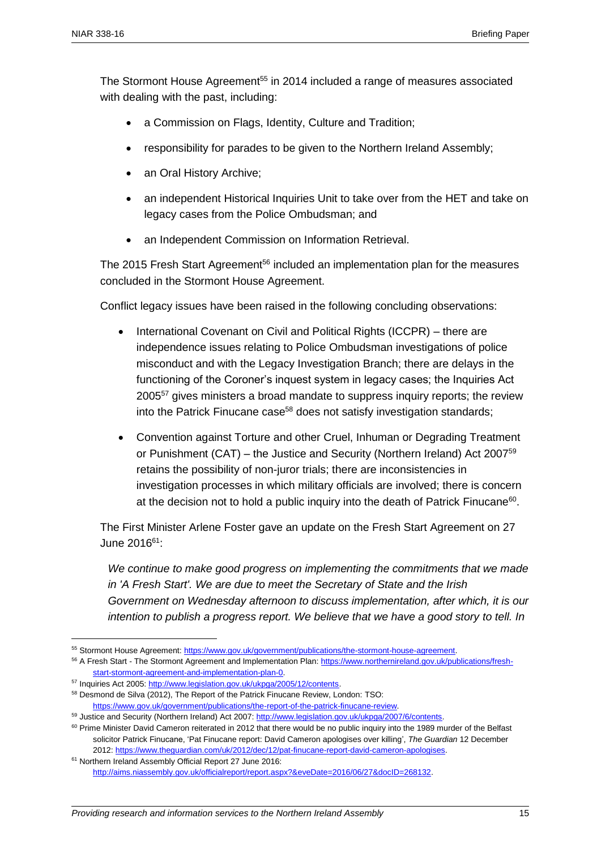The Stormont House Agreement<sup>55</sup> in 2014 included a range of measures associated with dealing with the past, including:

- a Commission on Flags, Identity, Culture and Tradition;
- responsibility for parades to be given to the Northern Ireland Assembly;
- an Oral History Archive;
- an independent Historical Inquiries Unit to take over from the HET and take on legacy cases from the Police Ombudsman; and
- an Independent Commission on Information Retrieval.

The 2015 Fresh Start Agreement<sup>56</sup> included an implementation plan for the measures concluded in the Stormont House Agreement.

Conflict legacy issues have been raised in the following concluding observations:

- International Covenant on Civil and Political Rights (ICCPR) there are independence issues relating to Police Ombudsman investigations of police misconduct and with the Legacy Investigation Branch; there are delays in the functioning of the Coroner's inquest system in legacy cases; the Inquiries Act 2005<sup>57</sup> gives ministers a broad mandate to suppress inquiry reports; the review into the Patrick Finucane case<sup>58</sup> does not satisfy investigation standards;
- Convention against Torture and other Cruel, Inhuman or Degrading Treatment or Punishment (CAT) – the Justice and Security (Northern Ireland) Act 2007 $^{59}$ retains the possibility of non-juror trials; there are inconsistencies in investigation processes in which military officials are involved; there is concern at the decision not to hold a public inquiry into the death of Patrick Finucane<sup>60</sup>.

The First Minister Arlene Foster gave an update on the Fresh Start Agreement on 27 June 2016<sup>61</sup>:

*We continue to make good progress on implementing the commitments that we made in 'A Fresh Start'. We are due to meet the Secretary of State and the Irish Government on Wednesday afternoon to discuss implementation, after which, it is our intention to publish a progress report. We believe that we have a good story to tell. In* 

<sup>55</sup> Stormont House Agreement[: https://www.gov.uk/government/publications/the-stormont-house-agreement.](https://www.gov.uk/government/publications/the-stormont-house-agreement)

<sup>56</sup> A Fresh Start - The Stormont Agreement and Implementation Plan: [https://www.northernireland.gov.uk/publications/fresh](https://www.northernireland.gov.uk/publications/fresh-start-stormont-agreement-and-implementation-plan-0)[start-stormont-agreement-and-implementation-plan-0.](https://www.northernireland.gov.uk/publications/fresh-start-stormont-agreement-and-implementation-plan-0)

<sup>57</sup> Inquiries Act 2005[: http://www.legislation.gov.uk/ukpga/2005/12/contents.](http://www.legislation.gov.uk/ukpga/2005/12/contents)

<sup>58</sup> Desmond de Silva (2012), The Report of the Patrick Finucane Review, London: TSO:

[https://www.gov.uk/government/publications/the-report-of-the-patrick-finucane-review.](https://www.gov.uk/government/publications/the-report-of-the-patrick-finucane-review)

<sup>59</sup> Justice and Security (Northern Ireland) Act 2007: [http://www.legislation.gov.uk/ukpga/2007/6/contents.](http://www.legislation.gov.uk/ukpga/2007/6/contents)

<sup>&</sup>lt;sup>60</sup> Prime Minister David Cameron reiterated in 2012 that there would be no public inquiry into the 1989 murder of the Belfast solicitor Patrick Finucane, 'Pat Finucane report: David Cameron apologises over killing', *The Guardian* 12 December 2012[: https://www.theguardian.com/uk/2012/dec/12/pat-finucane-report-david-cameron-apologises.](https://www.theguardian.com/uk/2012/dec/12/pat-finucane-report-david-cameron-apologises)

<sup>61</sup> Northern Ireland Assembly Official Report 27 June 2016: [http://aims.niassembly.gov.uk/officialreport/report.aspx?&eveDate=2016/06/27&docID=268132.](http://aims.niassembly.gov.uk/officialreport/report.aspx?&eveDate=2016/06/27&docID=268132)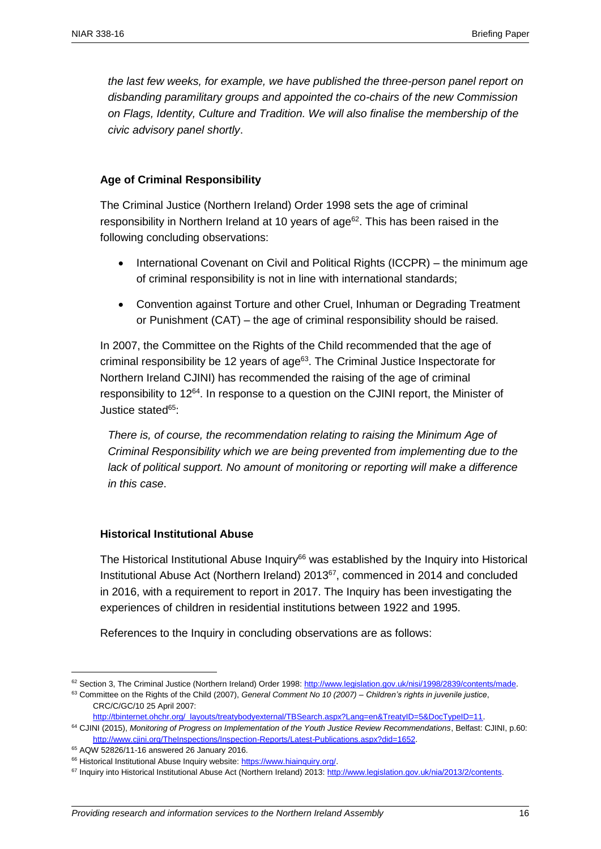*the last few weeks, for example, we have published the three-person panel report on disbanding paramilitary groups and appointed the co-chairs of the new Commission on Flags, Identity, Culture and Tradition. We will also finalise the membership of the civic advisory panel shortly*.

#### **Age of Criminal Responsibility**

The Criminal Justice (Northern Ireland) Order 1998 sets the age of criminal responsibility in Northern Ireland at 10 years of  $age^{62}$ . This has been raised in the following concluding observations:

- International Covenant on Civil and Political Rights (ICCPR) the minimum age of criminal responsibility is not in line with international standards;
- Convention against Torture and other Cruel, Inhuman or Degrading Treatment or Punishment (CAT) – the age of criminal responsibility should be raised.

In 2007, the Committee on the Rights of the Child recommended that the age of criminal responsibility be 12 years of age<sup>63</sup>. The Criminal Justice Inspectorate for Northern Ireland CJINI) has recommended the raising of the age of criminal responsibility to 12<sup>64</sup>. In response to a question on the CJINI report, the Minister of Justice stated<sup>65</sup>:

*There is, of course, the recommendation relating to raising the Minimum Age of Criminal Responsibility which we are being prevented from implementing due to the*  lack of political support. No amount of monitoring or reporting will make a difference *in this case*.

#### **Historical Institutional Abuse**

The Historical Institutional Abuse Inquiry<sup>66</sup> was established by the Inquiry into Historical Institutional Abuse Act (Northern Ireland) 2013<sup>67</sup>, commenced in 2014 and concluded in 2016, with a requirement to report in 2017. The Inquiry has been investigating the experiences of children in residential institutions between 1922 and 1995.

References to the Inquiry in concluding observations are as follows:

<sup>62</sup> Section 3, The Criminal Justice (Northern Ireland) Order 1998: http://www.legislation.gov.uk/nisi/1998/2839/contents/made.

<sup>63</sup> Committee on the Rights of the Child (2007), *General Comment No 10 (2007) – Children's rights in juvenile justice*, CRC/C/GC/10 25 April 2007:

http://tbinternet.ohchr.org/\_layouts/treatybodyexternal/TBSearch.aspx?Lang=en&TreatyID=5&DocTypeID=11.

<sup>64</sup> CJINI (2015), *Monitoring of Progress on Implementation of the Youth Justice Review Recommendations*, Belfast: CJINI, p.60: http://www.cjini.org/TheInspections/Inspection-Reports/Latest-Publications.aspx?did=1652.

<sup>65</sup> AQW 52826/11-16 answered 26 January 2016.

<sup>66</sup> Historical Institutional Abuse Inquiry website: [https://www.hiainquiry.org/.](https://www.hiainquiry.org/)

<sup>67</sup> Inquiry into Historical Institutional Abuse Act (Northern Ireland) 2013: [http://www.legislation.gov.uk/nia/2013/2/contents.](http://www.legislation.gov.uk/nia/2013/2/contents)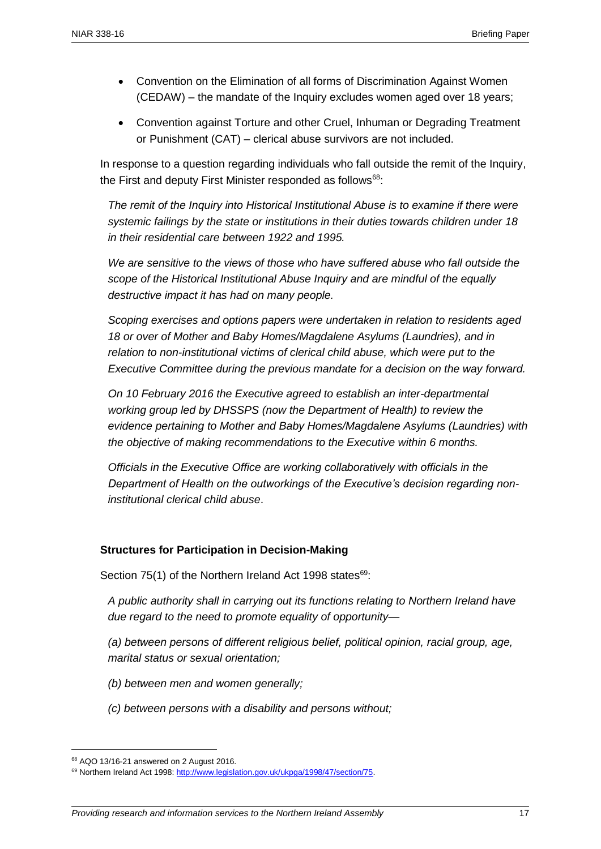- Convention on the Elimination of all forms of Discrimination Against Women (CEDAW) – the mandate of the Inquiry excludes women aged over 18 years;
- Convention against Torture and other Cruel, Inhuman or Degrading Treatment or Punishment (CAT) – clerical abuse survivors are not included.

In response to a question regarding individuals who fall outside the remit of the Inquiry, the First and deputy First Minister responded as follows<sup>68</sup>:

*The remit of the Inquiry into Historical Institutional Abuse is to examine if there were systemic failings by the state or institutions in their duties towards children under 18 in their residential care between 1922 and 1995.*

*We are sensitive to the views of those who have suffered abuse who fall outside the scope of the Historical Institutional Abuse Inquiry and are mindful of the equally destructive impact it has had on many people.*

*Scoping exercises and options papers were undertaken in relation to residents aged 18 or over of Mother and Baby Homes/Magdalene Asylums (Laundries), and in relation to non-institutional victims of clerical child abuse, which were put to the Executive Committee during the previous mandate for a decision on the way forward.* 

*On 10 February 2016 the Executive agreed to establish an inter-departmental working group led by DHSSPS (now the Department of Health) to review the evidence pertaining to Mother and Baby Homes/Magdalene Asylums (Laundries) with the objective of making recommendations to the Executive within 6 months.* 

*Officials in the Executive Office are working collaboratively with officials in the Department of Health on the outworkings of the Executive's decision regarding noninstitutional clerical child abuse*.

## **Structures for Participation in Decision-Making**

Section 75(1) of the Northern Ireland Act 1998 states $69$ :

*A public authority shall in carrying out its functions relating to Northern Ireland have due regard to the need to promote equality of opportunity—*

*(a) between persons of different religious belief, political opinion, racial group, age, marital status or sexual orientation;*

- *(b) between men and women generally;*
- *(c) between persons with a disability and persons without;*

<sup>68</sup> AQO 13/16-21 answered on 2 August 2016.

<sup>69</sup> Northern Ireland Act 1998: http://www.legislation.gov.uk/ukpga/1998/47/section/75.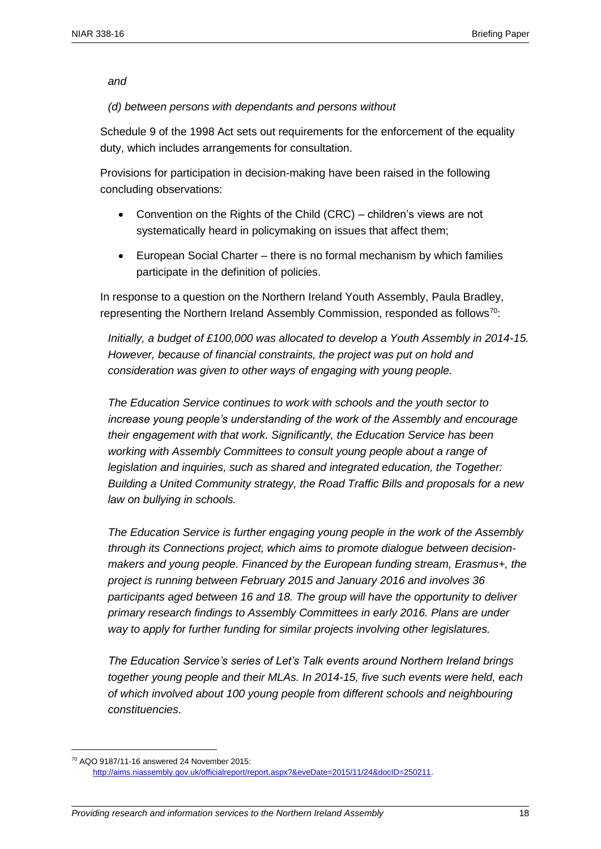#### *and*

#### *(d) between persons with dependants and persons without*

Schedule 9 of the 1998 Act sets out requirements for the enforcement of the equality duty, which includes arrangements for consultation.

Provisions for participation in decision-making have been raised in the following concluding observations:

- Convention on the Rights of the Child (CRC) children's views are not systematically heard in policymaking on issues that affect them;
- European Social Charter there is no formal mechanism by which families participate in the definition of policies.

In response to a question on the Northern Ireland Youth Assembly, Paula Bradley, representing the Northern Ireland Assembly Commission, responded as follows<sup>70</sup>:

*Initially, a budget of £100,000 was allocated to develop a Youth Assembly in 2014-15. However, because of financial constraints, the project was put on hold and consideration was given to other ways of engaging with young people.* 

*The Education Service continues to work with schools and the youth sector to increase young people's understanding of the work of the Assembly and encourage their engagement with that work. Significantly, the Education Service has been working with Assembly Committees to consult young people about a range of legislation and inquiries, such as shared and integrated education, the Together: Building a United Community strategy, the Road Traffic Bills and proposals for a new law on bullying in schools.* 

*The Education Service is further engaging young people in the work of the Assembly through its Connections project, which aims to promote dialogue between decisionmakers and young people. Financed by the European funding stream, Erasmus+, the project is running between February 2015 and January 2016 and involves 36 participants aged between 16 and 18. The group will have the opportunity to deliver primary research findings to Assembly Committees in early 2016. Plans are under way to apply for further funding for similar projects involving other legislatures.* 

*The Education Service's series of Let's Talk events around Northern Ireland brings together young people and their MLAs. In 2014-15, five such events were held, each of which involved about 100 young people from different schools and neighbouring constituencies*.

<sup>70</sup> AQO 9187/11-16 answered 24 November 2015: [http://aims.niassembly.gov.uk/officialreport/report.aspx?&eveDate=2015/11/24&docID=250211.](http://aims.niassembly.gov.uk/officialreport/report.aspx?&eveDate=2015/11/24&docID=250211)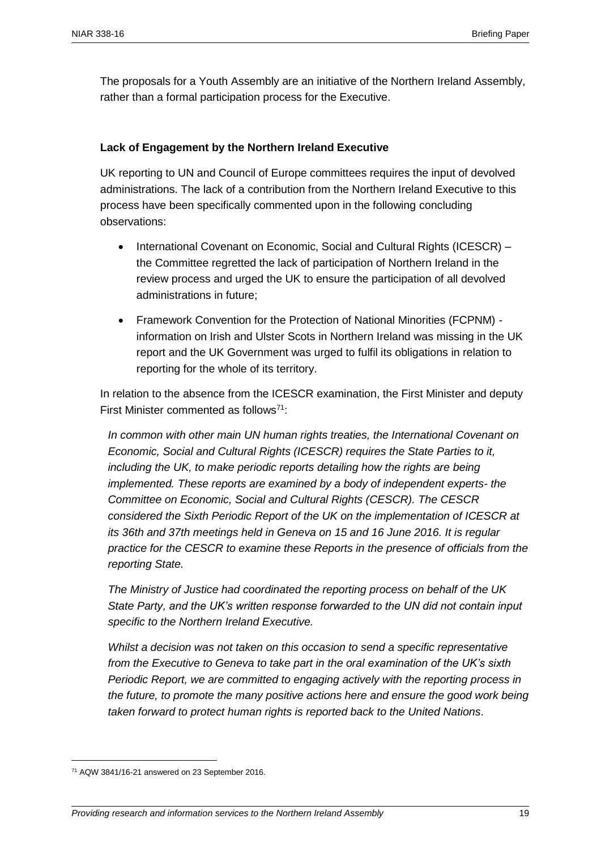The proposals for a Youth Assembly are an initiative of the Northern Ireland Assembly, rather than a formal participation process for the Executive.

## **Lack of Engagement by the Northern Ireland Executive**

UK reporting to UN and Council of Europe committees requires the input of devolved administrations. The lack of a contribution from the Northern Ireland Executive to this process have been specifically commented upon in the following concluding observations:

- International Covenant on Economic, Social and Cultural Rights (ICESCR) the Committee regretted the lack of participation of Northern Ireland in the review process and urged the UK to ensure the participation of all devolved administrations in future;
- Framework Convention for the Protection of National Minorities (FCPNM) information on Irish and Ulster Scots in Northern Ireland was missing in the UK report and the UK Government was urged to fulfil its obligations in relation to reporting for the whole of its territory.

In relation to the absence from the ICESCR examination, the First Minister and deputy First Minister commented as follows<sup>71</sup>:

*In common with other main UN human rights treaties, the International Covenant on Economic, Social and Cultural Rights (ICESCR) requires the State Parties to it, including the UK, to make periodic reports detailing how the rights are being implemented. These reports are examined by a body of independent experts- the Committee on Economic, Social and Cultural Rights (CESCR). The CESCR considered the Sixth Periodic Report of the UK on the implementation of ICESCR at its 36th and 37th meetings held in Geneva on 15 and 16 June 2016. It is regular practice for the CESCR to examine these Reports in the presence of officials from the reporting State.* 

*The Ministry of Justice had coordinated the reporting process on behalf of the UK State Party, and the UK's written response forwarded to the UN did not contain input specific to the Northern Ireland Executive.* 

*Whilst a decision was not taken on this occasion to send a specific representative from the Executive to Geneva to take part in the oral examination of the UK's sixth Periodic Report, we are committed to engaging actively with the reporting process in the future, to promote the many positive actions here and ensure the good work being taken forward to protect human rights is reported back to the United Nations*.

<sup>71</sup> AQW 3841/16-21 answered on 23 September 2016.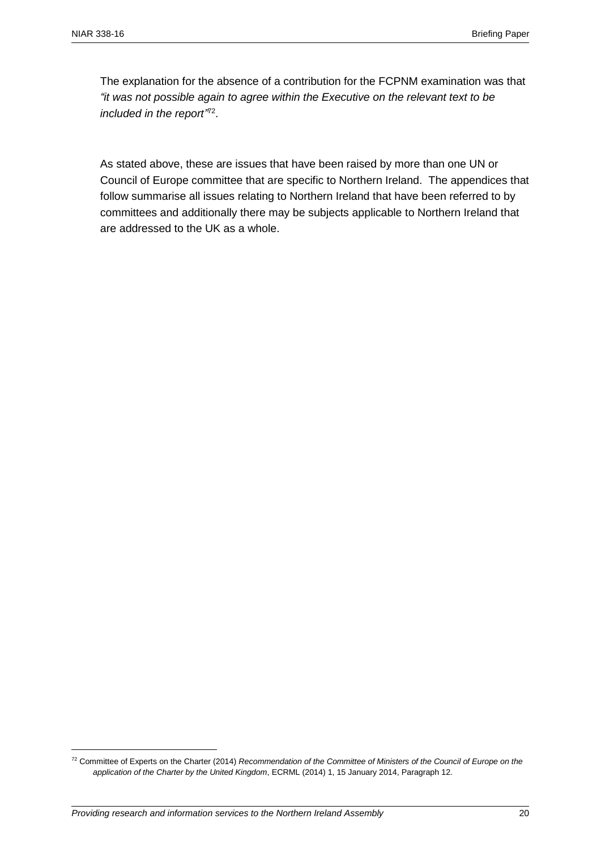The explanation for the absence of a contribution for the FCPNM examination was that *"it was not possible again to agree within the Executive on the relevant text to be*  included in the report<sup>772</sup>.

As stated above, these are issues that have been raised by more than one UN or Council of Europe committee that are specific to Northern Ireland. The appendices that follow summarise all issues relating to Northern Ireland that have been referred to by committees and additionally there may be subjects applicable to Northern Ireland that are addressed to the UK as a whole.

<sup>72</sup> Committee of Experts on the Charter (2014) *Recommendation of the Committee of Ministers of the Council of Europe on the application of the Charter by the United Kingdom*, ECRML (2014) 1, 15 January 2014, Paragraph 12.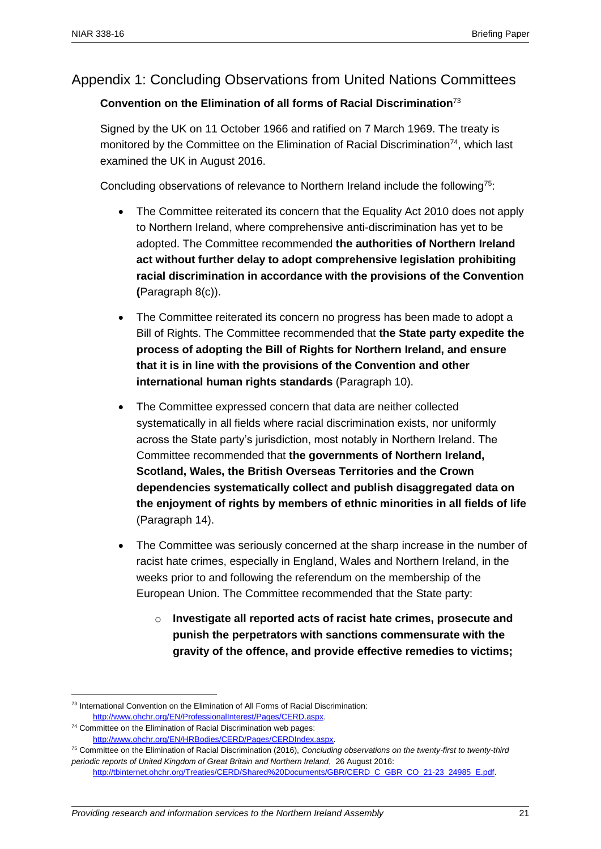## Appendix 1: Concluding Observations from United Nations Committees

## **Convention on the Elimination of all forms of Racial Discrimination**<sup>73</sup>

Signed by the UK on 11 October 1966 and ratified on 7 March 1969. The treaty is monitored by the Committee on the Elimination of Racial Discrimination<sup>74</sup>, which last examined the UK in August 2016.

Concluding observations of relevance to Northern Ireland include the following<sup>75</sup>:

- The Committee reiterated its concern that the Equality Act 2010 does not apply to Northern Ireland, where comprehensive anti-discrimination has yet to be adopted. The Committee recommended **the authorities of Northern Ireland act without further delay to adopt comprehensive legislation prohibiting racial discrimination in accordance with the provisions of the Convention (**Paragraph 8(c)).
- The Committee reiterated its concern no progress has been made to adopt a Bill of Rights. The Committee recommended that **the State party expedite the process of adopting the Bill of Rights for Northern Ireland, and ensure that it is in line with the provisions of the Convention and other international human rights standards** (Paragraph 10).
- The Committee expressed concern that data are neither collected systematically in all fields where racial discrimination exists, nor uniformly across the State party's jurisdiction, most notably in Northern Ireland. The Committee recommended that **the governments of Northern Ireland, Scotland, Wales, the British Overseas Territories and the Crown dependencies systematically collect and publish disaggregated data on the enjoyment of rights by members of ethnic minorities in all fields of life** (Paragraph 14).
- The Committee was seriously concerned at the sharp increase in the number of racist hate crimes, especially in England, Wales and Northern Ireland, in the weeks prior to and following the referendum on the membership of the European Union. The Committee recommended that the State party:
	- o **Investigate all reported acts of racist hate crimes, prosecute and punish the perpetrators with sanctions commensurate with the gravity of the offence, and provide effective remedies to victims;**

<sup>73</sup> International Convention on the Elimination of All Forms of Racial Discrimination: [http://www.ohchr.org/EN/ProfessionalInterest/Pages/CERD.aspx.](http://www.ohchr.org/EN/ProfessionalInterest/Pages/CERD.aspx) 

<sup>74</sup> Committee on the Elimination of Racial Discrimination web pages: [http://www.ohchr.org/EN/HRBodies/CERD/Pages/CERDIndex.aspx.](http://www.ohchr.org/EN/HRBodies/CERD/Pages/CERDIndex.aspx) 

<sup>75</sup> Committee on the Elimination of Racial Discrimination (2016), *Concluding observations on the twenty-first to twenty-third periodic reports of United Kingdom of Great Britain and Northern Ireland*, 26 August 2016:

[http://tbinternet.ohchr.org/Treaties/CERD/Shared%20Documents/GBR/CERD\\_C\\_GBR\\_CO\\_21-23\\_24985\\_E.pdf.](http://tbinternet.ohchr.org/Treaties/CERD/Shared%20Documents/GBR/CERD_C_GBR_CO_21-23_24985_E.pdf)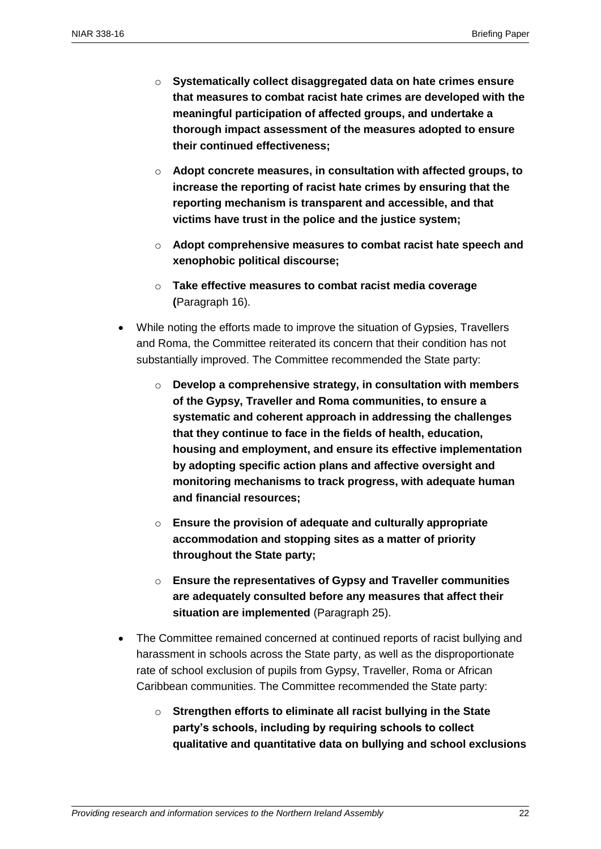- o **Systematically collect disaggregated data on hate crimes ensure that measures to combat racist hate crimes are developed with the meaningful participation of affected groups, and undertake a thorough impact assessment of the measures adopted to ensure their continued effectiveness;**
- o **Adopt concrete measures, in consultation with affected groups, to increase the reporting of racist hate crimes by ensuring that the reporting mechanism is transparent and accessible, and that victims have trust in the police and the justice system;**
- o **Adopt comprehensive measures to combat racist hate speech and xenophobic political discourse;**
- o **Take effective measures to combat racist media coverage (**Paragraph 16).
- While noting the efforts made to improve the situation of Gypsies, Travellers and Roma, the Committee reiterated its concern that their condition has not substantially improved. The Committee recommended the State party:
	- o **Develop a comprehensive strategy, in consultation with members of the Gypsy, Traveller and Roma communities, to ensure a systematic and coherent approach in addressing the challenges that they continue to face in the fields of health, education, housing and employment, and ensure its effective implementation by adopting specific action plans and affective oversight and monitoring mechanisms to track progress, with adequate human and financial resources;**
	- o **Ensure the provision of adequate and culturally appropriate accommodation and stopping sites as a matter of priority throughout the State party;**
	- o **Ensure the representatives of Gypsy and Traveller communities are adequately consulted before any measures that affect their situation are implemented** (Paragraph 25).
- The Committee remained concerned at continued reports of racist bullying and harassment in schools across the State party, as well as the disproportionate rate of school exclusion of pupils from Gypsy, Traveller, Roma or African Caribbean communities. The Committee recommended the State party:
	- o **Strengthen efforts to eliminate all racist bullying in the State party's schools, including by requiring schools to collect qualitative and quantitative data on bullying and school exclusions**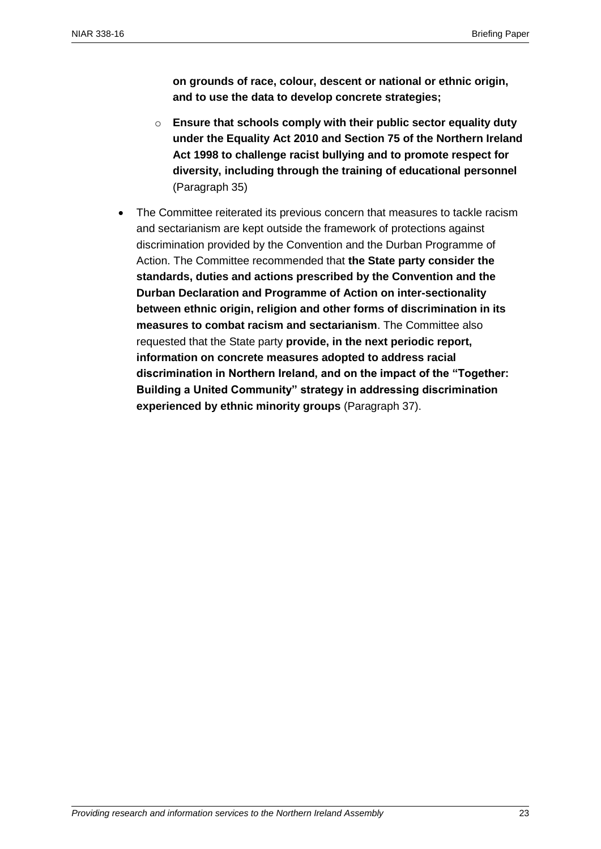**on grounds of race, colour, descent or national or ethnic origin, and to use the data to develop concrete strategies;**

- o **Ensure that schools comply with their public sector equality duty under the Equality Act 2010 and Section 75 of the Northern Ireland Act 1998 to challenge racist bullying and to promote respect for diversity, including through the training of educational personnel** (Paragraph 35)
- The Committee reiterated its previous concern that measures to tackle racism and sectarianism are kept outside the framework of protections against discrimination provided by the Convention and the Durban Programme of Action. The Committee recommended that **the State party consider the standards, duties and actions prescribed by the Convention and the Durban Declaration and Programme of Action on inter-sectionality between ethnic origin, religion and other forms of discrimination in its measures to combat racism and sectarianism**. The Committee also requested that the State party **provide, in the next periodic report, information on concrete measures adopted to address racial discrimination in Northern Ireland, and on the impact of the "Together: Building a United Community" strategy in addressing discrimination experienced by ethnic minority groups** (Paragraph 37).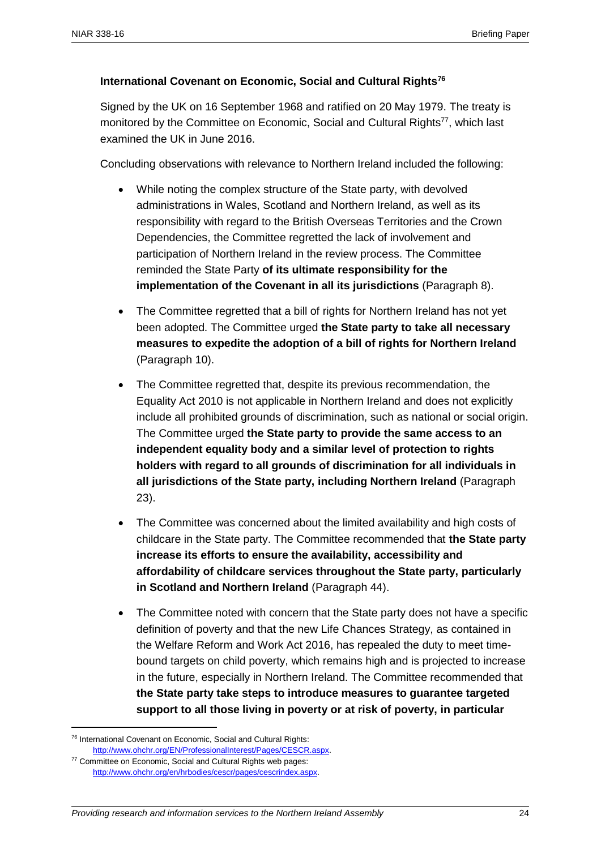## **International Covenant on Economic, Social and Cultural Rights<sup>76</sup>**

Signed by the UK on 16 September 1968 and ratified on 20 May 1979. The treaty is monitored by the Committee on Economic, Social and Cultural Rights<sup>77</sup>, which last examined the UK in June 2016.

Concluding observations with relevance to Northern Ireland included the following:

- While noting the complex structure of the State party, with devolved administrations in Wales, Scotland and Northern Ireland, as well as its responsibility with regard to the British Overseas Territories and the Crown Dependencies, the Committee regretted the lack of involvement and participation of Northern Ireland in the review process. The Committee reminded the State Party **of its ultimate responsibility for the implementation of the Covenant in all its jurisdictions** (Paragraph 8).
- The Committee regretted that a bill of rights for Northern Ireland has not yet been adopted. The Committee urged **the State party to take all necessary measures to expedite the adoption of a bill of rights for Northern Ireland** (Paragraph 10).
- The Committee regretted that, despite its previous recommendation, the Equality Act 2010 is not applicable in Northern Ireland and does not explicitly include all prohibited grounds of discrimination, such as national or social origin. The Committee urged **the State party to provide the same access to an independent equality body and a similar level of protection to rights holders with regard to all grounds of discrimination for all individuals in all jurisdictions of the State party, including Northern Ireland** (Paragraph 23).
- The Committee was concerned about the limited availability and high costs of childcare in the State party. The Committee recommended that **the State party increase its efforts to ensure the availability, accessibility and affordability of childcare services throughout the State party, particularly in Scotland and Northern Ireland** (Paragraph 44).
- The Committee noted with concern that the State party does not have a specific definition of poverty and that the new Life Chances Strategy, as contained in the Welfare Reform and Work Act 2016, has repealed the duty to meet timebound targets on child poverty, which remains high and is projected to increase in the future, especially in Northern Ireland. The Committee recommended that **the State party take steps to introduce measures to guarantee targeted support to all those living in poverty or at risk of poverty, in particular**

<sup>76</sup> International Covenant on Economic, Social and Cultural Rights: [http://www.ohchr.org/EN/ProfessionalInterest/Pages/CESCR.aspx.](http://www.ohchr.org/EN/ProfessionalInterest/Pages/CESCR.aspx)

<sup>77</sup> Committee on Economic, Social and Cultural Rights web pages: [http://www.ohchr.org/en/hrbodies/cescr/pages/cescrindex.aspx.](http://www.ohchr.org/en/hrbodies/cescr/pages/cescrindex.aspx)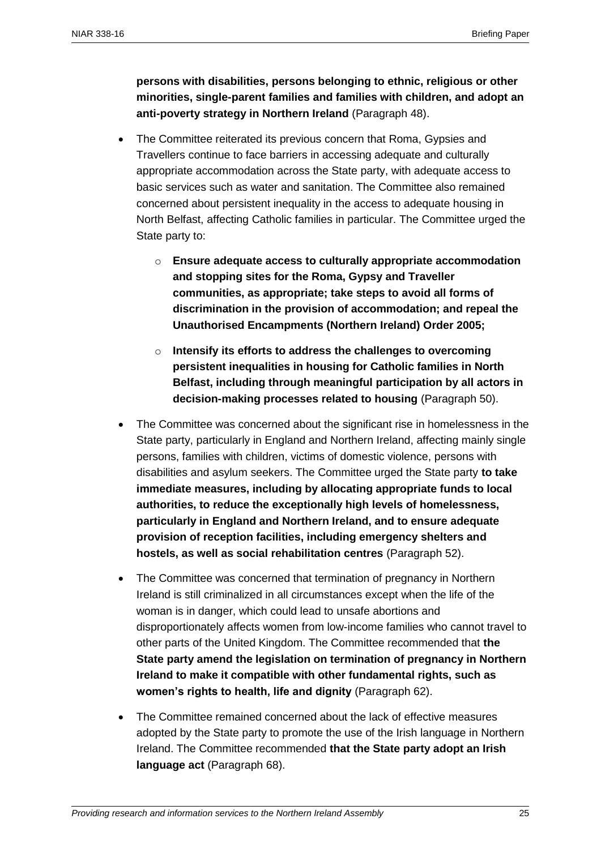**persons with disabilities, persons belonging to ethnic, religious or other minorities, single-parent families and families with children, and adopt an anti-poverty strategy in Northern Ireland** (Paragraph 48).

- The Committee reiterated its previous concern that Roma, Gypsies and Travellers continue to face barriers in accessing adequate and culturally appropriate accommodation across the State party, with adequate access to basic services such as water and sanitation. The Committee also remained concerned about persistent inequality in the access to adequate housing in North Belfast, affecting Catholic families in particular. The Committee urged the State party to:
	- o **Ensure adequate access to culturally appropriate accommodation and stopping sites for the Roma, Gypsy and Traveller communities, as appropriate; take steps to avoid all forms of discrimination in the provision of accommodation; and repeal the Unauthorised Encampments (Northern Ireland) Order 2005;**
	- o **Intensify its efforts to address the challenges to overcoming persistent inequalities in housing for Catholic families in North Belfast, including through meaningful participation by all actors in decision-making processes related to housing** (Paragraph 50).
- The Committee was concerned about the significant rise in homelessness in the State party, particularly in England and Northern Ireland, affecting mainly single persons, families with children, victims of domestic violence, persons with disabilities and asylum seekers. The Committee urged the State party **to take immediate measures, including by allocating appropriate funds to local authorities, to reduce the exceptionally high levels of homelessness, particularly in England and Northern Ireland, and to ensure adequate provision of reception facilities, including emergency shelters and hostels, as well as social rehabilitation centres** (Paragraph 52).
- The Committee was concerned that termination of pregnancy in Northern Ireland is still criminalized in all circumstances except when the life of the woman is in danger, which could lead to unsafe abortions and disproportionately affects women from low-income families who cannot travel to other parts of the United Kingdom. The Committee recommended that **the State party amend the legislation on termination of pregnancy in Northern Ireland to make it compatible with other fundamental rights, such as women's rights to health, life and dignity** (Paragraph 62).
- The Committee remained concerned about the lack of effective measures adopted by the State party to promote the use of the Irish language in Northern Ireland. The Committee recommended **that the State party adopt an Irish language act** (Paragraph 68).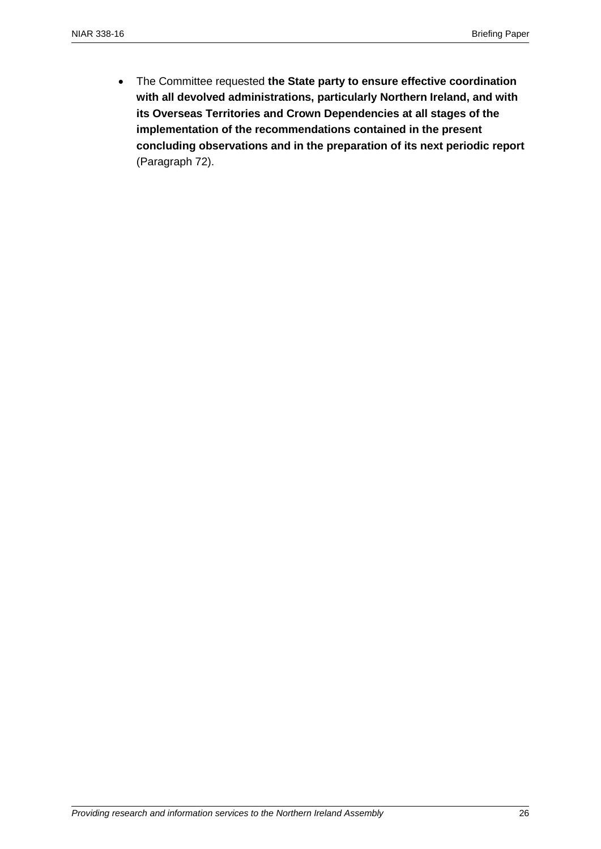The Committee requested **the State party to ensure effective coordination with all devolved administrations, particularly Northern Ireland, and with its Overseas Territories and Crown Dependencies at all stages of the implementation of the recommendations contained in the present concluding observations and in the preparation of its next periodic report** (Paragraph 72).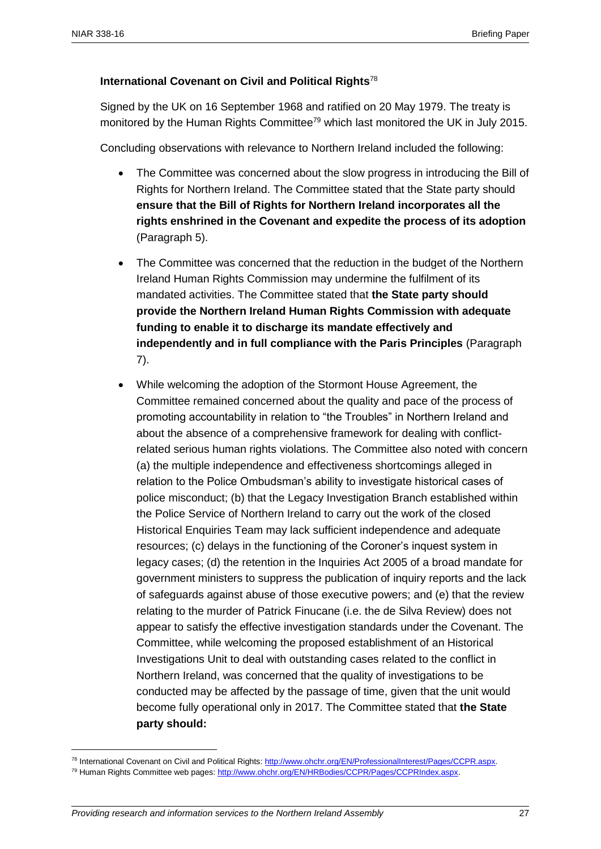## **International Covenant on Civil and Political Rights**<sup>78</sup>

Signed by the UK on 16 September 1968 and ratified on 20 May 1979. The treaty is monitored by the Human Rights Committee<sup>79</sup> which last monitored the UK in July 2015.

Concluding observations with relevance to Northern Ireland included the following:

- The Committee was concerned about the slow progress in introducing the Bill of Rights for Northern Ireland. The Committee stated that the State party should **ensure that the Bill of Rights for Northern Ireland incorporates all the rights enshrined in the Covenant and expedite the process of its adoption** (Paragraph 5).
- The Committee was concerned that the reduction in the budget of the Northern Ireland Human Rights Commission may undermine the fulfilment of its mandated activities. The Committee stated that **the State party should provide the Northern Ireland Human Rights Commission with adequate funding to enable it to discharge its mandate effectively and independently and in full compliance with the Paris Principles** (Paragraph 7).
- While welcoming the adoption of the Stormont House Agreement, the Committee remained concerned about the quality and pace of the process of promoting accountability in relation to "the Troubles" in Northern Ireland and about the absence of a comprehensive framework for dealing with conflictrelated serious human rights violations. The Committee also noted with concern (a) the multiple independence and effectiveness shortcomings alleged in relation to the Police Ombudsman's ability to investigate historical cases of police misconduct; (b) that the Legacy Investigation Branch established within the Police Service of Northern Ireland to carry out the work of the closed Historical Enquiries Team may lack sufficient independence and adequate resources; (c) delays in the functioning of the Coroner's inquest system in legacy cases; (d) the retention in the Inquiries Act 2005 of a broad mandate for government ministers to suppress the publication of inquiry reports and the lack of safeguards against abuse of those executive powers; and (e) that the review relating to the murder of Patrick Finucane (i.e. the de Silva Review) does not appear to satisfy the effective investigation standards under the Covenant. The Committee, while welcoming the proposed establishment of an Historical Investigations Unit to deal with outstanding cases related to the conflict in Northern Ireland, was concerned that the quality of investigations to be conducted may be affected by the passage of time, given that the unit would become fully operational only in 2017. The Committee stated that **the State party should:**

<sup>78</sup> International Covenant on Civil and Political Rights[: http://www.ohchr.org/EN/ProfessionalInterest/Pages/CCPR.aspx.](http://www.ohchr.org/EN/ProfessionalInterest/Pages/CCPR.aspx)

<sup>79</sup> Human Rights Committee web pages[: http://www.ohchr.org/EN/HRBodies/CCPR/Pages/CCPRIndex.aspx.](http://www.ohchr.org/EN/HRBodies/CCPR/Pages/CCPRIndex.aspx)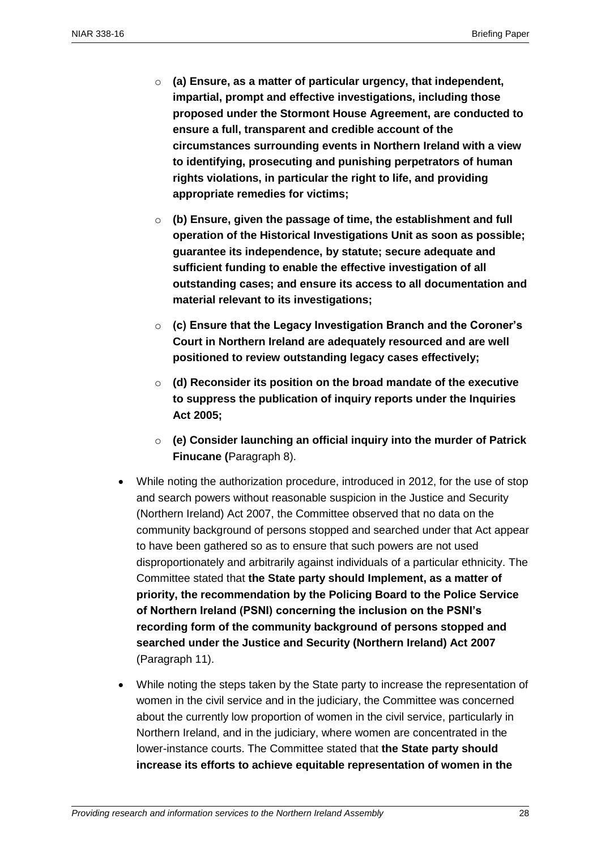- o **(a) Ensure, as a matter of particular urgency, that independent, impartial, prompt and effective investigations, including those proposed under the Stormont House Agreement, are conducted to ensure a full, transparent and credible account of the circumstances surrounding events in Northern Ireland with a view to identifying, prosecuting and punishing perpetrators of human rights violations, in particular the right to life, and providing appropriate remedies for victims;**
- o **(b) Ensure, given the passage of time, the establishment and full operation of the Historical Investigations Unit as soon as possible; guarantee its independence, by statute; secure adequate and sufficient funding to enable the effective investigation of all outstanding cases; and ensure its access to all documentation and material relevant to its investigations;**
- o **(c) Ensure that the Legacy Investigation Branch and the Coroner's Court in Northern Ireland are adequately resourced and are well positioned to review outstanding legacy cases effectively;**
- o **(d) Reconsider its position on the broad mandate of the executive to suppress the publication of inquiry reports under the Inquiries Act 2005;**
- o **(e) Consider launching an official inquiry into the murder of Patrick Finucane (**Paragraph 8).
- While noting the authorization procedure, introduced in 2012, for the use of stop and search powers without reasonable suspicion in the Justice and Security (Northern Ireland) Act 2007, the Committee observed that no data on the community background of persons stopped and searched under that Act appear to have been gathered so as to ensure that such powers are not used disproportionately and arbitrarily against individuals of a particular ethnicity. The Committee stated that **the State party should Implement, as a matter of priority, the recommendation by the Policing Board to the Police Service of Northern Ireland (PSNI) concerning the inclusion on the PSNI's recording form of the community background of persons stopped and searched under the Justice and Security (Northern Ireland) Act 2007** (Paragraph 11).
- While noting the steps taken by the State party to increase the representation of women in the civil service and in the judiciary, the Committee was concerned about the currently low proportion of women in the civil service, particularly in Northern Ireland, and in the judiciary, where women are concentrated in the lower-instance courts. The Committee stated that **the State party should increase its efforts to achieve equitable representation of women in the**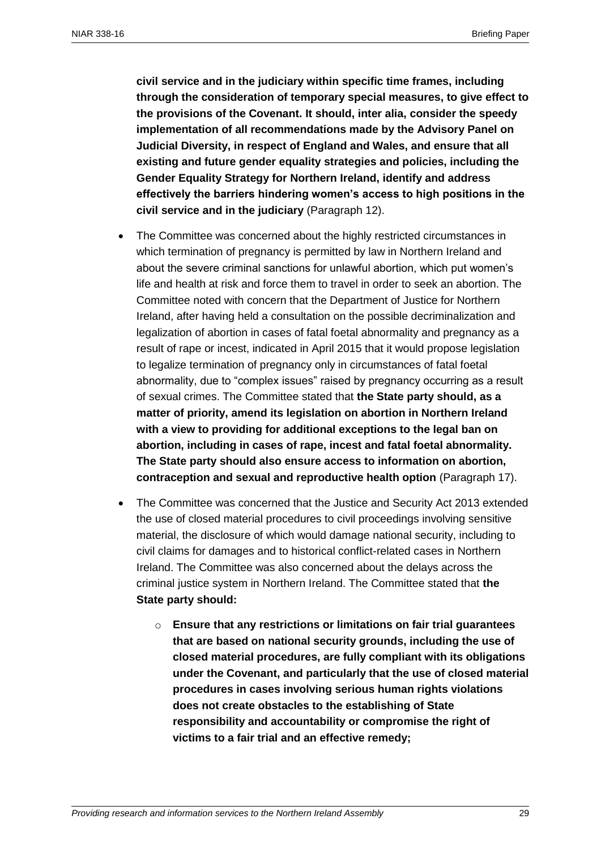**civil service and in the judiciary within specific time frames, including through the consideration of temporary special measures, to give effect to the provisions of the Covenant. It should, inter alia, consider the speedy implementation of all recommendations made by the Advisory Panel on Judicial Diversity, in respect of England and Wales, and ensure that all existing and future gender equality strategies and policies, including the Gender Equality Strategy for Northern Ireland, identify and address effectively the barriers hindering women's access to high positions in the civil service and in the judiciary** (Paragraph 12).

- The Committee was concerned about the highly restricted circumstances in which termination of pregnancy is permitted by law in Northern Ireland and about the severe criminal sanctions for unlawful abortion, which put women's life and health at risk and force them to travel in order to seek an abortion. The Committee noted with concern that the Department of Justice for Northern Ireland, after having held a consultation on the possible decriminalization and legalization of abortion in cases of fatal foetal abnormality and pregnancy as a result of rape or incest, indicated in April 2015 that it would propose legislation to legalize termination of pregnancy only in circumstances of fatal foetal abnormality, due to "complex issues" raised by pregnancy occurring as a result of sexual crimes. The Committee stated that **the State party should, as a matter of priority, amend its legislation on abortion in Northern Ireland with a view to providing for additional exceptions to the legal ban on abortion, including in cases of rape, incest and fatal foetal abnormality. The State party should also ensure access to information on abortion, contraception and sexual and reproductive health option** (Paragraph 17).
- The Committee was concerned that the Justice and Security Act 2013 extended the use of closed material procedures to civil proceedings involving sensitive material, the disclosure of which would damage national security, including to civil claims for damages and to historical conflict-related cases in Northern Ireland. The Committee was also concerned about the delays across the criminal justice system in Northern Ireland. The Committee stated that **the State party should:**
	- o **Ensure that any restrictions or limitations on fair trial guarantees that are based on national security grounds, including the use of closed material procedures, are fully compliant with its obligations under the Covenant, and particularly that the use of closed material procedures in cases involving serious human rights violations does not create obstacles to the establishing of State responsibility and accountability or compromise the right of victims to a fair trial and an effective remedy;**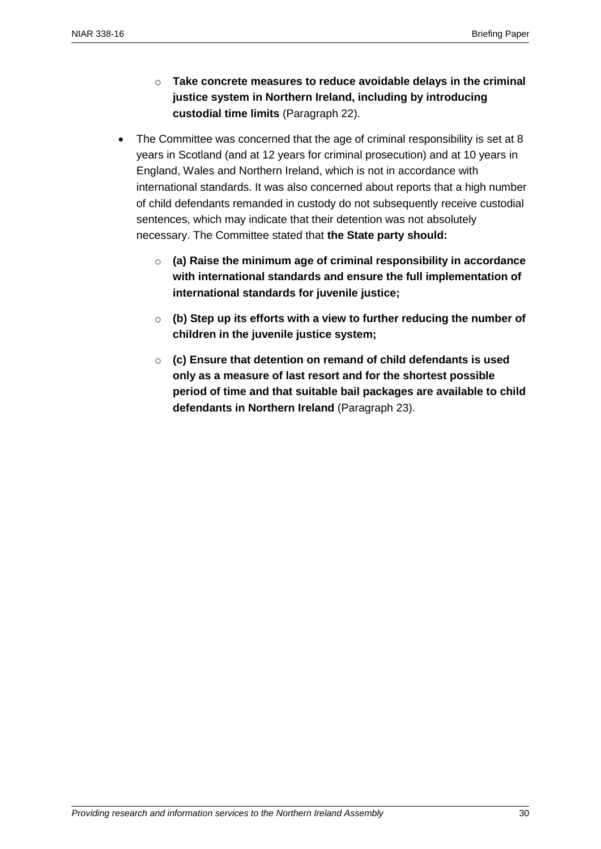- o **Take concrete measures to reduce avoidable delays in the criminal justice system in Northern Ireland, including by introducing custodial time limits** (Paragraph 22).
- The Committee was concerned that the age of criminal responsibility is set at 8 years in Scotland (and at 12 years for criminal prosecution) and at 10 years in England, Wales and Northern Ireland, which is not in accordance with international standards. It was also concerned about reports that a high number of child defendants remanded in custody do not subsequently receive custodial sentences, which may indicate that their detention was not absolutely necessary. The Committee stated that **the State party should:**
	- o **(a) Raise the minimum age of criminal responsibility in accordance with international standards and ensure the full implementation of international standards for juvenile justice;**
	- o **(b) Step up its efforts with a view to further reducing the number of children in the juvenile justice system;**
	- o **(c) Ensure that detention on remand of child defendants is used only as a measure of last resort and for the shortest possible period of time and that suitable bail packages are available to child defendants in Northern Ireland** (Paragraph 23).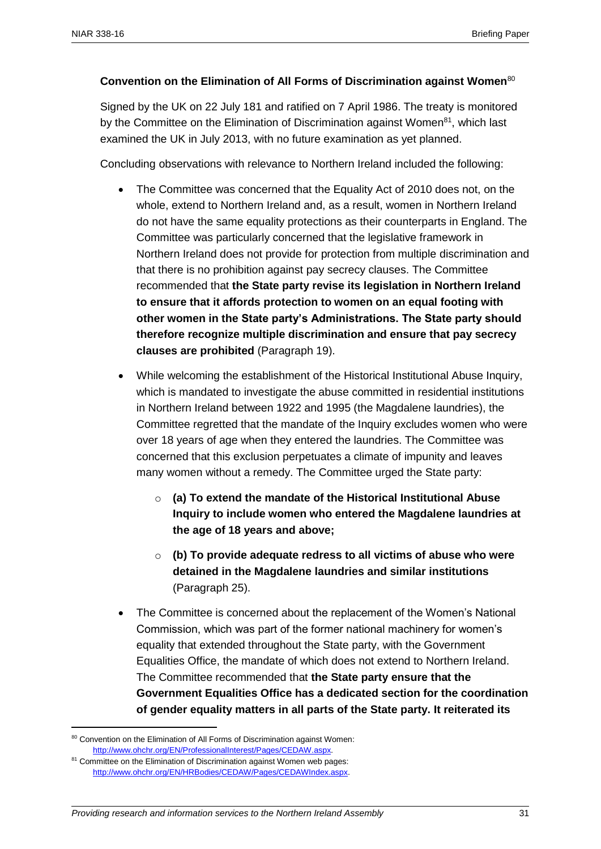## **Convention on the Elimination of All Forms of Discrimination against Women**<sup>80</sup>

Signed by the UK on 22 July 181 and ratified on 7 April 1986. The treaty is monitored by the Committee on the Elimination of Discrimination against Women $81$ , which last examined the UK in July 2013, with no future examination as yet planned.

Concluding observations with relevance to Northern Ireland included the following:

- The Committee was concerned that the Equality Act of 2010 does not, on the whole, extend to Northern Ireland and, as a result, women in Northern Ireland do not have the same equality protections as their counterparts in England. The Committee was particularly concerned that the legislative framework in Northern Ireland does not provide for protection from multiple discrimination and that there is no prohibition against pay secrecy clauses. The Committee recommended that **the State party revise its legislation in Northern Ireland to ensure that it affords protection to women on an equal footing with other women in the State party's Administrations. The State party should therefore recognize multiple discrimination and ensure that pay secrecy clauses are prohibited** (Paragraph 19).
- While welcoming the establishment of the Historical Institutional Abuse Inquiry, which is mandated to investigate the abuse committed in residential institutions in Northern Ireland between 1922 and 1995 (the Magdalene laundries), the Committee regretted that the mandate of the Inquiry excludes women who were over 18 years of age when they entered the laundries. The Committee was concerned that this exclusion perpetuates a climate of impunity and leaves many women without a remedy. The Committee urged the State party:
	- o **(a) To extend the mandate of the Historical Institutional Abuse Inquiry to include women who entered the Magdalene laundries at the age of 18 years and above;**
	- o **(b) To provide adequate redress to all victims of abuse who were detained in the Magdalene laundries and similar institutions**  (Paragraph 25).
- The Committee is concerned about the replacement of the Women's National Commission, which was part of the former national machinery for women's equality that extended throughout the State party, with the Government Equalities Office, the mandate of which does not extend to Northern Ireland. The Committee recommended that **the State party ensure that the Government Equalities Office has a dedicated section for the coordination of gender equality matters in all parts of the State party. It reiterated its**

<sup>80</sup> Convention on the Elimination of All Forms of Discrimination against Women: [http://www.ohchr.org/EN/ProfessionalInterest/Pages/CEDAW.aspx.](http://www.ohchr.org/EN/ProfessionalInterest/Pages/CEDAW.aspx)

<sup>&</sup>lt;sup>81</sup> Committee on the Elimination of Discrimination against Women web pages: [http://www.ohchr.org/EN/HRBodies/CEDAW/Pages/CEDAWIndex.aspx.](http://www.ohchr.org/EN/HRBodies/CEDAW/Pages/CEDAWIndex.aspx)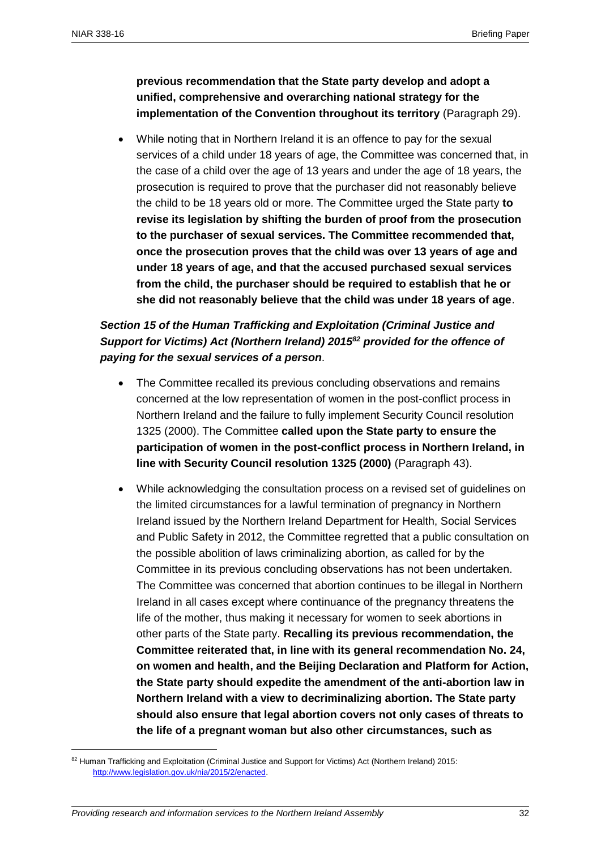**previous recommendation that the State party develop and adopt a unified, comprehensive and overarching national strategy for the implementation of the Convention throughout its territory** (Paragraph 29).

 While noting that in Northern Ireland it is an offence to pay for the sexual services of a child under 18 years of age, the Committee was concerned that, in the case of a child over the age of 13 years and under the age of 18 years, the prosecution is required to prove that the purchaser did not reasonably believe the child to be 18 years old or more. The Committee urged the State party **to revise its legislation by shifting the burden of proof from the prosecution to the purchaser of sexual services. The Committee recommended that, once the prosecution proves that the child was over 13 years of age and under 18 years of age, and that the accused purchased sexual services from the child, the purchaser should be required to establish that he or she did not reasonably believe that the child was under 18 years of age**.

## *Section 15 of the Human Trafficking and Exploitation (Criminal Justice and Support for Victims) Act (Northern Ireland) 2015<sup>82</sup> provided for the offence of paying for the sexual services of a person*.

- The Committee recalled its previous concluding observations and remains concerned at the low representation of women in the post-conflict process in Northern Ireland and the failure to fully implement Security Council resolution 1325 (2000). The Committee **called upon the State party to ensure the participation of women in the post-conflict process in Northern Ireland, in line with Security Council resolution 1325 (2000)** (Paragraph 43).
- While acknowledging the consultation process on a revised set of guidelines on the limited circumstances for a lawful termination of pregnancy in Northern Ireland issued by the Northern Ireland Department for Health, Social Services and Public Safety in 2012, the Committee regretted that a public consultation on the possible abolition of laws criminalizing abortion, as called for by the Committee in its previous concluding observations has not been undertaken. The Committee was concerned that abortion continues to be illegal in Northern Ireland in all cases except where continuance of the pregnancy threatens the life of the mother, thus making it necessary for women to seek abortions in other parts of the State party. **Recalling its previous recommendation, the Committee reiterated that, in line with its general recommendation No. 24, on women and health, and the Beijing Declaration and Platform for Action, the State party should expedite the amendment of the anti-abortion law in Northern Ireland with a view to decriminalizing abortion. The State party should also ensure that legal abortion covers not only cases of threats to the life of a pregnant woman but also other circumstances, such as**

<sup>82</sup> Human Trafficking and Exploitation (Criminal Justice and Support for Victims) Act (Northern Ireland) 2015: [http://www.legislation.gov.uk/nia/2015/2/enacted.](http://www.legislation.gov.uk/nia/2015/2/enacted)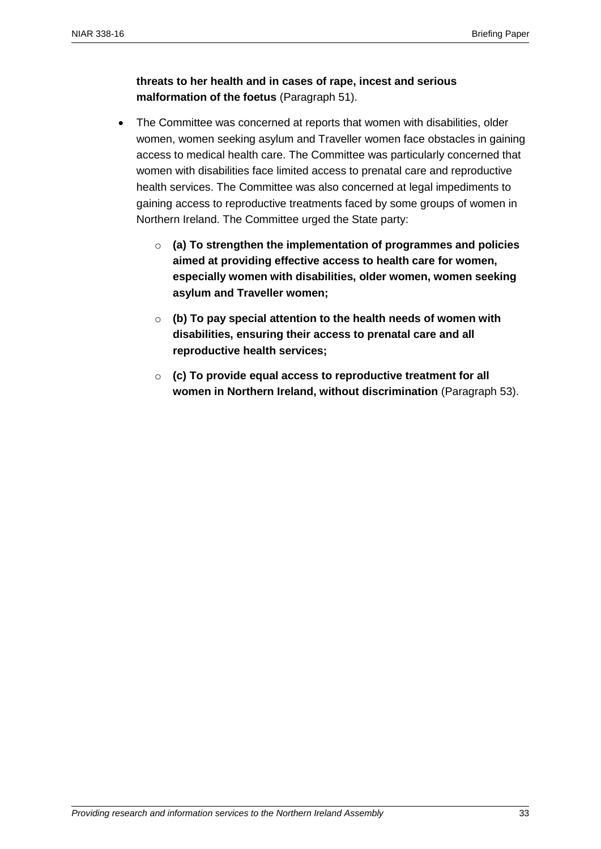## **threats to her health and in cases of rape, incest and serious malformation of the foetus** (Paragraph 51).

- The Committee was concerned at reports that women with disabilities, older women, women seeking asylum and Traveller women face obstacles in gaining access to medical health care. The Committee was particularly concerned that women with disabilities face limited access to prenatal care and reproductive health services. The Committee was also concerned at legal impediments to gaining access to reproductive treatments faced by some groups of women in Northern Ireland. The Committee urged the State party:
	- o **(a) To strengthen the implementation of programmes and policies aimed at providing effective access to health care for women, especially women with disabilities, older women, women seeking asylum and Traveller women;**
	- o **(b) To pay special attention to the health needs of women with disabilities, ensuring their access to prenatal care and all reproductive health services;**
	- o **(c) To provide equal access to reproductive treatment for all women in Northern Ireland, without discrimination** (Paragraph 53).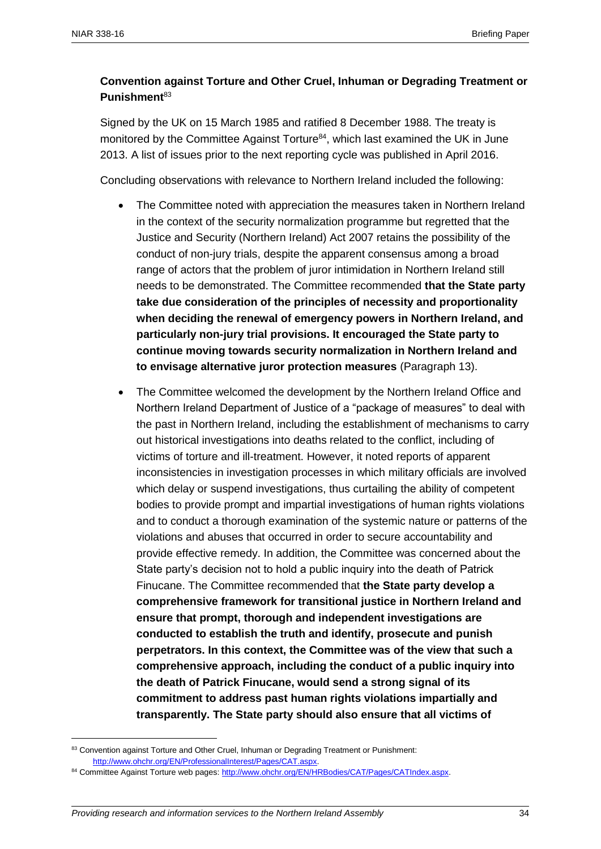## **Convention against Torture and Other Cruel, Inhuman or Degrading Treatment or Punishment**<sup>83</sup>

Signed by the UK on 15 March 1985 and ratified 8 December 1988. The treaty is monitored by the Committee Against Torture<sup>84</sup>, which last examined the UK in June 2013. A list of issues prior to the next reporting cycle was published in April 2016.

Concluding observations with relevance to Northern Ireland included the following:

- The Committee noted with appreciation the measures taken in Northern Ireland in the context of the security normalization programme but regretted that the Justice and Security (Northern Ireland) Act 2007 retains the possibility of the conduct of non-jury trials, despite the apparent consensus among a broad range of actors that the problem of juror intimidation in Northern Ireland still needs to be demonstrated. The Committee recommended **that the State party take due consideration of the principles of necessity and proportionality when deciding the renewal of emergency powers in Northern Ireland, and particularly non-jury trial provisions. It encouraged the State party to continue moving towards security normalization in Northern Ireland and to envisage alternative juror protection measures** (Paragraph 13).
- The Committee welcomed the development by the Northern Ireland Office and Northern Ireland Department of Justice of a "package of measures" to deal with the past in Northern Ireland, including the establishment of mechanisms to carry out historical investigations into deaths related to the conflict, including of victims of torture and ill-treatment. However, it noted reports of apparent inconsistencies in investigation processes in which military officials are involved which delay or suspend investigations, thus curtailing the ability of competent bodies to provide prompt and impartial investigations of human rights violations and to conduct a thorough examination of the systemic nature or patterns of the violations and abuses that occurred in order to secure accountability and provide effective remedy. In addition, the Committee was concerned about the State party's decision not to hold a public inquiry into the death of Patrick Finucane. The Committee recommended that **the State party develop a comprehensive framework for transitional justice in Northern Ireland and ensure that prompt, thorough and independent investigations are conducted to establish the truth and identify, prosecute and punish perpetrators. In this context, the Committee was of the view that such a comprehensive approach, including the conduct of a public inquiry into the death of Patrick Finucane, would send a strong signal of its commitment to address past human rights violations impartially and transparently. The State party should also ensure that all victims of**

<sup>83</sup> Convention against Torture and Other Cruel, Inhuman or Degrading Treatment or Punishment: [http://www.ohchr.org/EN/ProfessionalInterest/Pages/CAT.aspx.](http://www.ohchr.org/EN/ProfessionalInterest/Pages/CAT.aspx)

<sup>84</sup> Committee Against Torture web pages: http://www.ohchr.org/EN/HRBodies/CAT/Pages/CATIndex.aspx.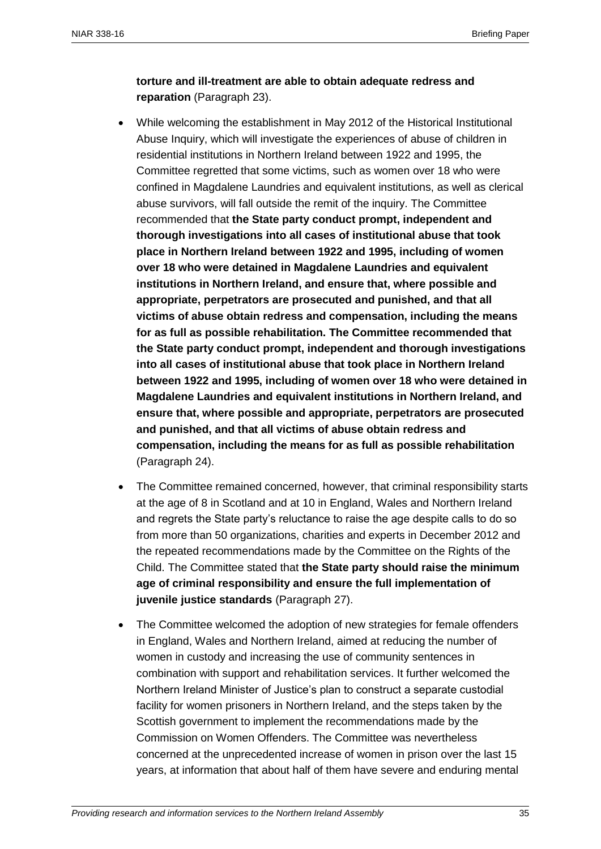## **torture and ill-treatment are able to obtain adequate redress and reparation** (Paragraph 23).

- While welcoming the establishment in May 2012 of the Historical Institutional Abuse Inquiry, which will investigate the experiences of abuse of children in residential institutions in Northern Ireland between 1922 and 1995, the Committee regretted that some victims, such as women over 18 who were confined in Magdalene Laundries and equivalent institutions, as well as clerical abuse survivors, will fall outside the remit of the inquiry. The Committee recommended that **the State party conduct prompt, independent and thorough investigations into all cases of institutional abuse that took place in Northern Ireland between 1922 and 1995, including of women over 18 who were detained in Magdalene Laundries and equivalent institutions in Northern Ireland, and ensure that, where possible and appropriate, perpetrators are prosecuted and punished, and that all victims of abuse obtain redress and compensation, including the means for as full as possible rehabilitation. The Committee recommended that the State party conduct prompt, independent and thorough investigations into all cases of institutional abuse that took place in Northern Ireland between 1922 and 1995, including of women over 18 who were detained in Magdalene Laundries and equivalent institutions in Northern Ireland, and ensure that, where possible and appropriate, perpetrators are prosecuted and punished, and that all victims of abuse obtain redress and compensation, including the means for as full as possible rehabilitation** (Paragraph 24).
- The Committee remained concerned, however, that criminal responsibility starts at the age of 8 in Scotland and at 10 in England, Wales and Northern Ireland and regrets the State party's reluctance to raise the age despite calls to do so from more than 50 organizations, charities and experts in December 2012 and the repeated recommendations made by the Committee on the Rights of the Child. The Committee stated that **the State party should raise the minimum age of criminal responsibility and ensure the full implementation of juvenile justice standards** (Paragraph 27).
- The Committee welcomed the adoption of new strategies for female offenders in England, Wales and Northern Ireland, aimed at reducing the number of women in custody and increasing the use of community sentences in combination with support and rehabilitation services. It further welcomed the Northern Ireland Minister of Justice's plan to construct a separate custodial facility for women prisoners in Northern Ireland, and the steps taken by the Scottish government to implement the recommendations made by the Commission on Women Offenders. The Committee was nevertheless concerned at the unprecedented increase of women in prison over the last 15 years, at information that about half of them have severe and enduring mental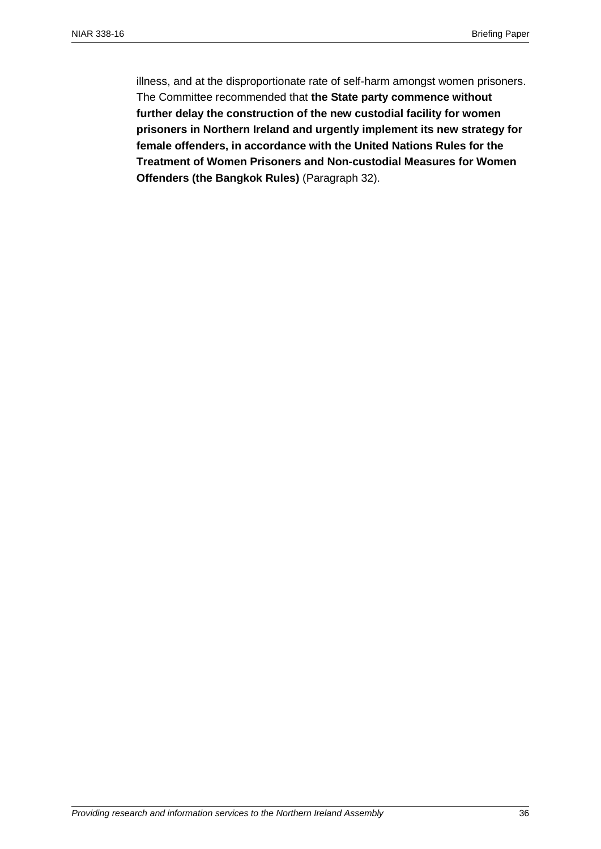illness, and at the disproportionate rate of self-harm amongst women prisoners. The Committee recommended that **the State party commence without further delay the construction of the new custodial facility for women prisoners in Northern Ireland and urgently implement its new strategy for female offenders, in accordance with the United Nations Rules for the Treatment of Women Prisoners and Non-custodial Measures for Women Offenders (the Bangkok Rules)** (Paragraph 32).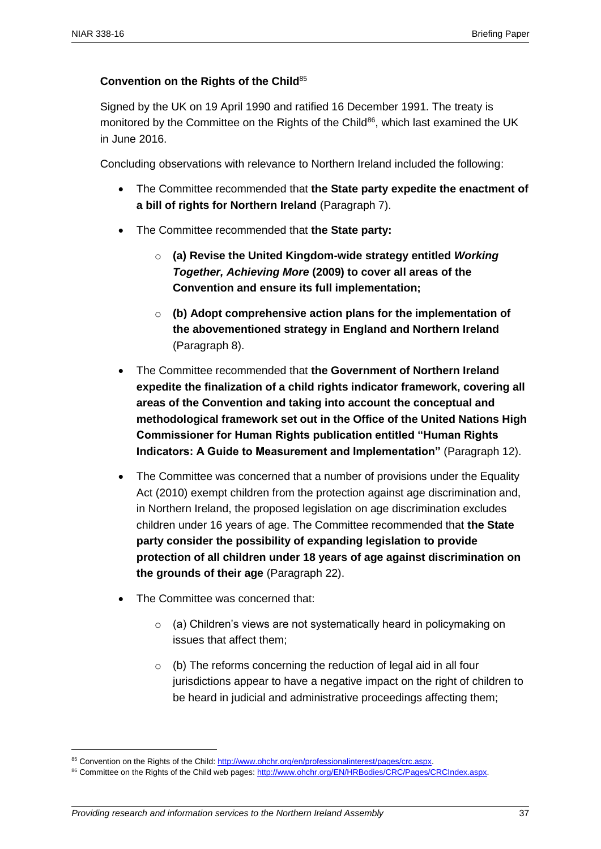## **Convention on the Rights of the Child**<sup>85</sup>

Signed by the UK on 19 April 1990 and ratified 16 December 1991. The treaty is monitored by the Committee on the Rights of the Child<sup>86</sup>, which last examined the UK in June 2016.

Concluding observations with relevance to Northern Ireland included the following:

- The Committee recommended that **the State party expedite the enactment of a bill of rights for Northern Ireland** (Paragraph 7).
- The Committee recommended that **the State party:**
	- o **(a) Revise the United Kingdom-wide strategy entitled** *Working Together, Achieving More* **(2009) to cover all areas of the Convention and ensure its full implementation;**
	- o **(b) Adopt comprehensive action plans for the implementation of the abovementioned strategy in England and Northern Ireland** (Paragraph 8).
- The Committee recommended that **the Government of Northern Ireland expedite the finalization of a child rights indicator framework, covering all areas of the Convention and taking into account the conceptual and methodological framework set out in the Office of the United Nations High Commissioner for Human Rights publication entitled "Human Rights Indicators: A Guide to Measurement and Implementation"** (Paragraph 12).
- The Committee was concerned that a number of provisions under the Equality Act (2010) exempt children from the protection against age discrimination and, in Northern Ireland, the proposed legislation on age discrimination excludes children under 16 years of age. The Committee recommended that **the State party consider the possibility of expanding legislation to provide protection of all children under 18 years of age against discrimination on the grounds of their age** (Paragraph 22).
- The Committee was concerned that:
	- o (a) Children's views are not systematically heard in policymaking on issues that affect them;
	- $\circ$  (b) The reforms concerning the reduction of legal aid in all four jurisdictions appear to have a negative impact on the right of children to be heard in judicial and administrative proceedings affecting them;

<sup>85</sup> Convention on the Rights of the Child[: http://www.ohchr.org/en/professionalinterest/pages/crc.aspx.](http://www.ohchr.org/en/professionalinterest/pages/crc.aspx)

<sup>86</sup> Committee on the Rights of the Child web pages: http://www.ohchr.org/EN/HRBodies/CRC/Pages/CRCIndex.aspx.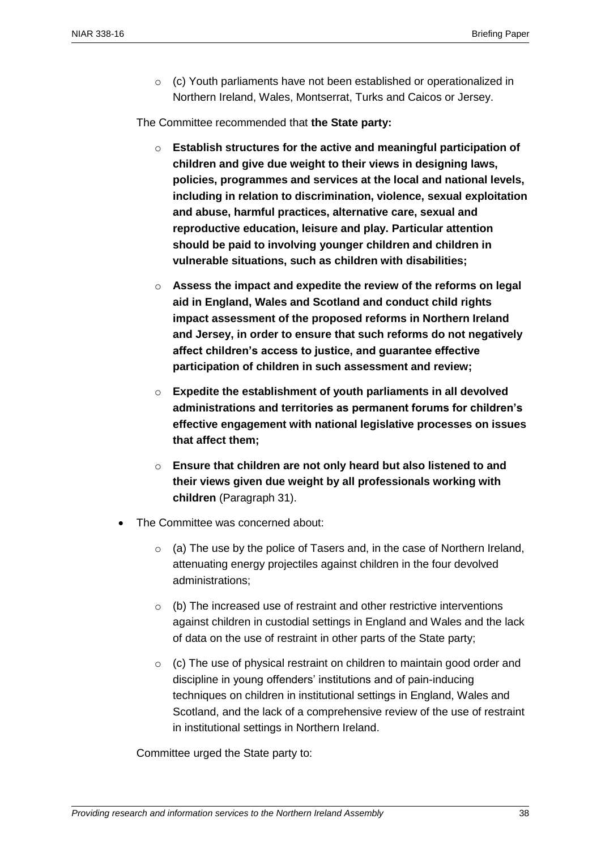$\circ$  (c) Youth parliaments have not been established or operationalized in Northern Ireland, Wales, Montserrat, Turks and Caicos or Jersey.

The Committee recommended that **the State party:**

- o **Establish structures for the active and meaningful participation of children and give due weight to their views in designing laws, policies, programmes and services at the local and national levels, including in relation to discrimination, violence, sexual exploitation and abuse, harmful practices, alternative care, sexual and reproductive education, leisure and play. Particular attention should be paid to involving younger children and children in vulnerable situations, such as children with disabilities;**
- o **Assess the impact and expedite the review of the reforms on legal aid in England, Wales and Scotland and conduct child rights impact assessment of the proposed reforms in Northern Ireland and Jersey, in order to ensure that such reforms do not negatively affect children's access to justice, and guarantee effective participation of children in such assessment and review;**
- o **Expedite the establishment of youth parliaments in all devolved administrations and territories as permanent forums for children's effective engagement with national legislative processes on issues that affect them;**
- o **Ensure that children are not only heard but also listened to and their views given due weight by all professionals working with children** (Paragraph 31).
- The Committee was concerned about:
	- $\circ$  (a) The use by the police of Tasers and, in the case of Northern Ireland, attenuating energy projectiles against children in the four devolved administrations;
	- o (b) The increased use of restraint and other restrictive interventions against children in custodial settings in England and Wales and the lack of data on the use of restraint in other parts of the State party;
	- o (c) The use of physical restraint on children to maintain good order and discipline in young offenders' institutions and of pain-inducing techniques on children in institutional settings in England, Wales and Scotland, and the lack of a comprehensive review of the use of restraint in institutional settings in Northern Ireland.

Committee urged the State party to: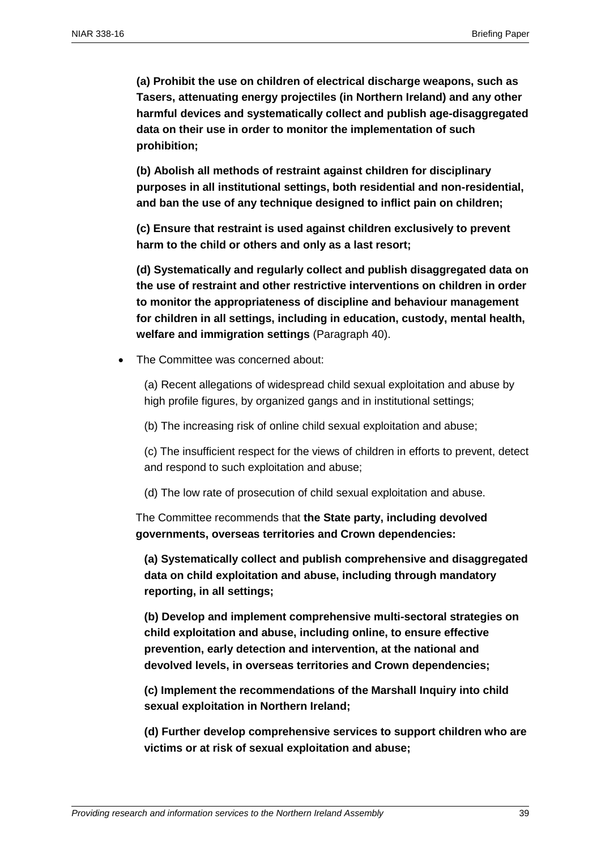**(a) Prohibit the use on children of electrical discharge weapons, such as Tasers, attenuating energy projectiles (in Northern Ireland) and any other harmful devices and systematically collect and publish age-disaggregated data on their use in order to monitor the implementation of such prohibition;**

**(b) Abolish all methods of restraint against children for disciplinary purposes in all institutional settings, both residential and non-residential, and ban the use of any technique designed to inflict pain on children;**

**(c) Ensure that restraint is used against children exclusively to prevent harm to the child or others and only as a last resort;**

**(d) Systematically and regularly collect and publish disaggregated data on the use of restraint and other restrictive interventions on children in order to monitor the appropriateness of discipline and behaviour management for children in all settings, including in education, custody, mental health, welfare and immigration settings** (Paragraph 40).

The Committee was concerned about:

(a) Recent allegations of widespread child sexual exploitation and abuse by high profile figures, by organized gangs and in institutional settings;

(b) The increasing risk of online child sexual exploitation and abuse;

(c) The insufficient respect for the views of children in efforts to prevent, detect and respond to such exploitation and abuse;

(d) The low rate of prosecution of child sexual exploitation and abuse.

The Committee recommends that **the State party, including devolved governments, overseas territories and Crown dependencies:**

**(a) Systematically collect and publish comprehensive and disaggregated data on child exploitation and abuse, including through mandatory reporting, in all settings;**

**(b) Develop and implement comprehensive multi-sectoral strategies on child exploitation and abuse, including online, to ensure effective prevention, early detection and intervention, at the national and devolved levels, in overseas territories and Crown dependencies;**

**(c) Implement the recommendations of the Marshall Inquiry into child sexual exploitation in Northern Ireland;**

**(d) Further develop comprehensive services to support children who are victims or at risk of sexual exploitation and abuse;**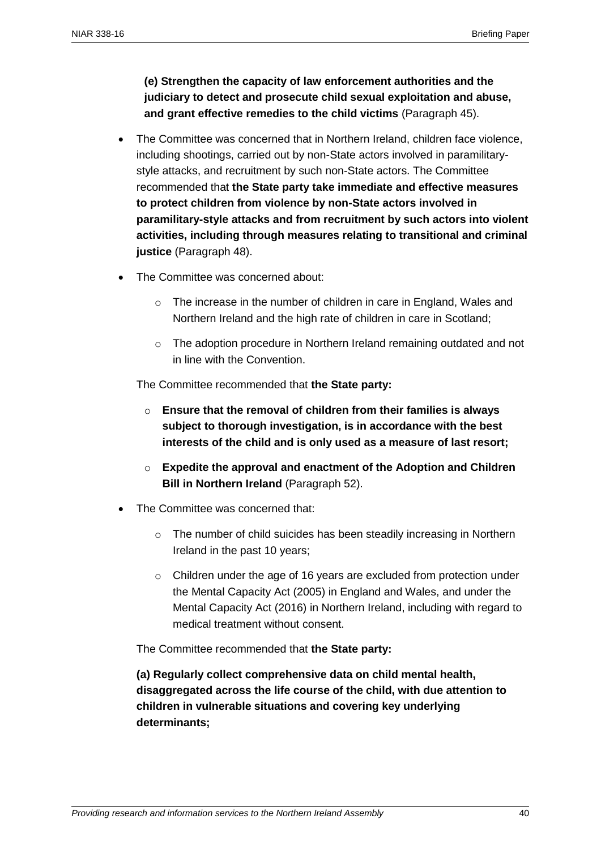**(e) Strengthen the capacity of law enforcement authorities and the judiciary to detect and prosecute child sexual exploitation and abuse, and grant effective remedies to the child victims** (Paragraph 45).

- The Committee was concerned that in Northern Ireland, children face violence, including shootings, carried out by non-State actors involved in paramilitarystyle attacks, and recruitment by such non-State actors. The Committee recommended that **the State party take immediate and effective measures to protect children from violence by non-State actors involved in paramilitary-style attacks and from recruitment by such actors into violent activities, including through measures relating to transitional and criminal justice** (Paragraph 48).
- The Committee was concerned about:
	- o The increase in the number of children in care in England, Wales and Northern Ireland and the high rate of children in care in Scotland;
	- o The adoption procedure in Northern Ireland remaining outdated and not in line with the Convention.

The Committee recommended that **the State party:**

- o **Ensure that the removal of children from their families is always subject to thorough investigation, is in accordance with the best interests of the child and is only used as a measure of last resort;**
- o **Expedite the approval and enactment of the Adoption and Children Bill in Northern Ireland** (Paragraph 52).
- The Committee was concerned that:
	- o The number of child suicides has been steadily increasing in Northern Ireland in the past 10 years;
	- o Children under the age of 16 years are excluded from protection under the Mental Capacity Act (2005) in England and Wales, and under the Mental Capacity Act (2016) in Northern Ireland, including with regard to medical treatment without consent.

The Committee recommended that **the State party:**

**(a) Regularly collect comprehensive data on child mental health, disaggregated across the life course of the child, with due attention to children in vulnerable situations and covering key underlying determinants;**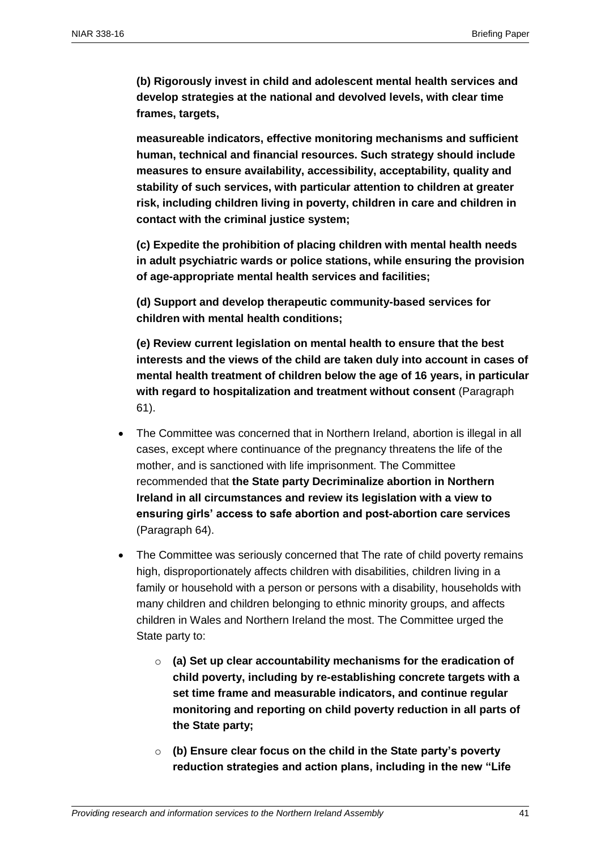**(b) Rigorously invest in child and adolescent mental health services and develop strategies at the national and devolved levels, with clear time frames, targets,**

**measureable indicators, effective monitoring mechanisms and sufficient human, technical and financial resources. Such strategy should include measures to ensure availability, accessibility, acceptability, quality and stability of such services, with particular attention to children at greater risk, including children living in poverty, children in care and children in contact with the criminal justice system;**

**(c) Expedite the prohibition of placing children with mental health needs in adult psychiatric wards or police stations, while ensuring the provision of age-appropriate mental health services and facilities;**

**(d) Support and develop therapeutic community-based services for children with mental health conditions;**

**(e) Review current legislation on mental health to ensure that the best interests and the views of the child are taken duly into account in cases of mental health treatment of children below the age of 16 years, in particular with regard to hospitalization and treatment without consent** (Paragraph 61).

- The Committee was concerned that in Northern Ireland, abortion is illegal in all cases, except where continuance of the pregnancy threatens the life of the mother, and is sanctioned with life imprisonment. The Committee recommended that **the State party Decriminalize abortion in Northern Ireland in all circumstances and review its legislation with a view to ensuring girls' access to safe abortion and post-abortion care services** (Paragraph 64).
- The Committee was seriously concerned that The rate of child poverty remains high, disproportionately affects children with disabilities, children living in a family or household with a person or persons with a disability, households with many children and children belonging to ethnic minority groups, and affects children in Wales and Northern Ireland the most. The Committee urged the State party to:
	- o **(a) Set up clear accountability mechanisms for the eradication of child poverty, including by re-establishing concrete targets with a set time frame and measurable indicators, and continue regular monitoring and reporting on child poverty reduction in all parts of the State party;**
	- o **(b) Ensure clear focus on the child in the State party's poverty reduction strategies and action plans, including in the new "Life**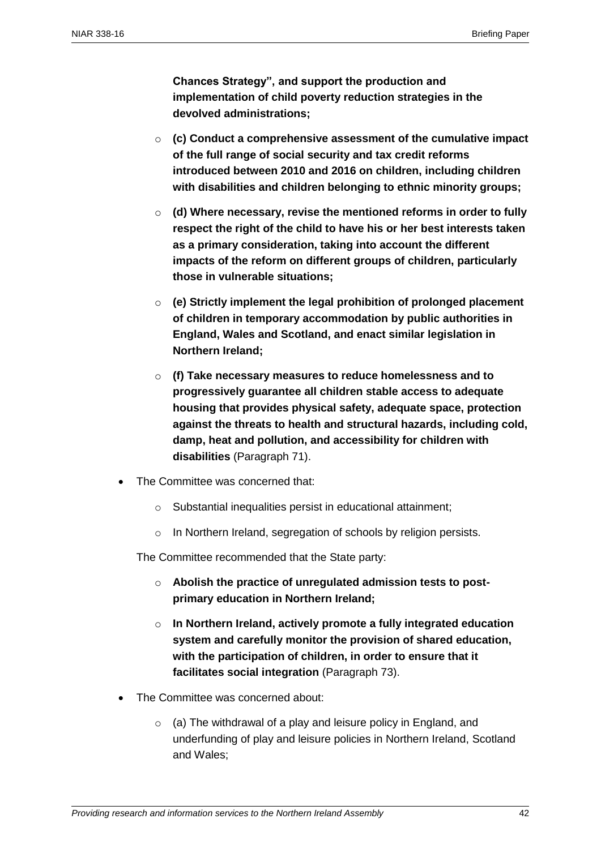**Chances Strategy", and support the production and implementation of child poverty reduction strategies in the devolved administrations;**

- o **(c) Conduct a comprehensive assessment of the cumulative impact of the full range of social security and tax credit reforms introduced between 2010 and 2016 on children, including children with disabilities and children belonging to ethnic minority groups;**
- o **(d) Where necessary, revise the mentioned reforms in order to fully respect the right of the child to have his or her best interests taken as a primary consideration, taking into account the different impacts of the reform on different groups of children, particularly those in vulnerable situations;**
- o **(e) Strictly implement the legal prohibition of prolonged placement of children in temporary accommodation by public authorities in England, Wales and Scotland, and enact similar legislation in Northern Ireland;**
- o **(f) Take necessary measures to reduce homelessness and to progressively guarantee all children stable access to adequate housing that provides physical safety, adequate space, protection against the threats to health and structural hazards, including cold, damp, heat and pollution, and accessibility for children with disabilities** (Paragraph 71).
- The Committee was concerned that:
	- o Substantial inequalities persist in educational attainment;
	- o In Northern Ireland, segregation of schools by religion persists.

The Committee recommended that the State party:

- o **Abolish the practice of unregulated admission tests to postprimary education in Northern Ireland;**
- o **In Northern Ireland, actively promote a fully integrated education system and carefully monitor the provision of shared education, with the participation of children, in order to ensure that it facilitates social integration** (Paragraph 73).
- The Committee was concerned about:
	- $\circ$  (a) The withdrawal of a play and leisure policy in England, and underfunding of play and leisure policies in Northern Ireland, Scotland and Wales;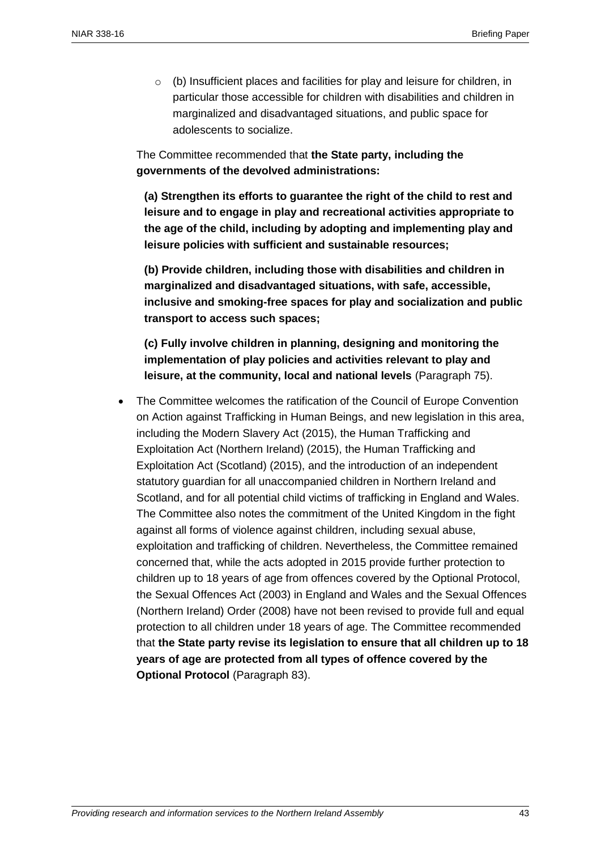$\circ$  (b) Insufficient places and facilities for play and leisure for children, in particular those accessible for children with disabilities and children in marginalized and disadvantaged situations, and public space for adolescents to socialize.

The Committee recommended that **the State party, including the governments of the devolved administrations:**

**(a) Strengthen its efforts to guarantee the right of the child to rest and leisure and to engage in play and recreational activities appropriate to the age of the child, including by adopting and implementing play and leisure policies with sufficient and sustainable resources;**

**(b) Provide children, including those with disabilities and children in marginalized and disadvantaged situations, with safe, accessible, inclusive and smoking-free spaces for play and socialization and public transport to access such spaces;**

**(c) Fully involve children in planning, designing and monitoring the implementation of play policies and activities relevant to play and leisure, at the community, local and national levels** (Paragraph 75).

 The Committee welcomes the ratification of the Council of Europe Convention on Action against Trafficking in Human Beings, and new legislation in this area, including the Modern Slavery Act (2015), the Human Trafficking and Exploitation Act (Northern Ireland) (2015), the Human Trafficking and Exploitation Act (Scotland) (2015), and the introduction of an independent statutory guardian for all unaccompanied children in Northern Ireland and Scotland, and for all potential child victims of trafficking in England and Wales. The Committee also notes the commitment of the United Kingdom in the fight against all forms of violence against children, including sexual abuse, exploitation and trafficking of children. Nevertheless, the Committee remained concerned that, while the acts adopted in 2015 provide further protection to children up to 18 years of age from offences covered by the Optional Protocol, the Sexual Offences Act (2003) in England and Wales and the Sexual Offences (Northern Ireland) Order (2008) have not been revised to provide full and equal protection to all children under 18 years of age. The Committee recommended that **the State party revise its legislation to ensure that all children up to 18 years of age are protected from all types of offence covered by the Optional Protocol** (Paragraph 83).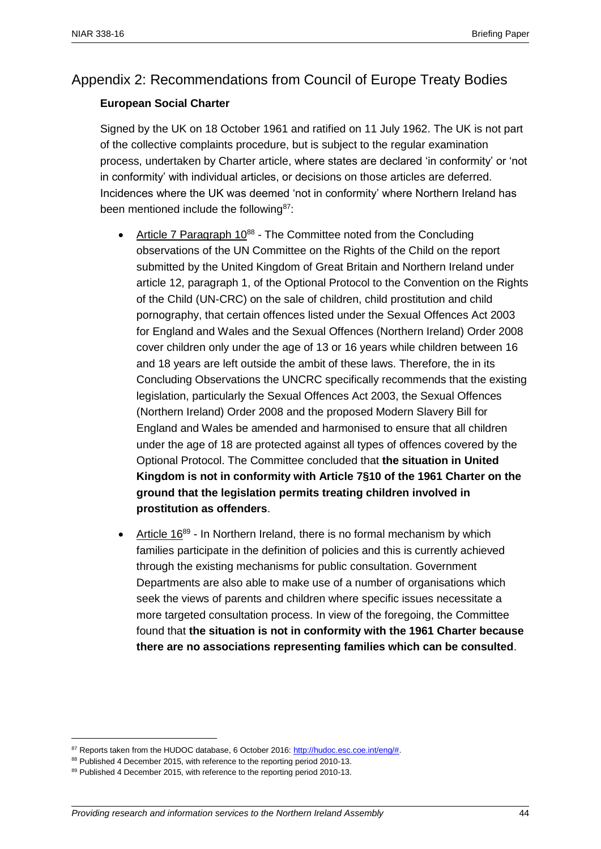## Appendix 2: Recommendations from Council of Europe Treaty Bodies

## **European Social Charter**

Signed by the UK on 18 October 1961 and ratified on 11 July 1962. The UK is not part of the collective complaints procedure, but is subject to the regular examination process, undertaken by Charter article, where states are declared 'in conformity' or 'not in conformity' with individual articles, or decisions on those articles are deferred. Incidences where the UK was deemed 'not in conformity' where Northern Ireland has been mentioned include the following<sup>87</sup>:

- Article 7 Paragraph  $10^{88}$  The Committee noted from the Concluding observations of the UN Committee on the Rights of the Child on the report submitted by the United Kingdom of Great Britain and Northern Ireland under article 12, paragraph 1, of the Optional Protocol to the Convention on the Rights of the Child (UN-CRC) on the sale of children, child prostitution and child pornography, that certain offences listed under the Sexual Offences Act 2003 for England and Wales and the Sexual Offences (Northern Ireland) Order 2008 cover children only under the age of 13 or 16 years while children between 16 and 18 years are left outside the ambit of these laws. Therefore, the in its Concluding Observations the UNCRC specifically recommends that the existing legislation, particularly the Sexual Offences Act 2003, the Sexual Offences (Northern Ireland) Order 2008 and the proposed Modern Slavery Bill for England and Wales be amended and harmonised to ensure that all children under the age of 18 are protected against all types of offences covered by the Optional Protocol. The Committee concluded that **the situation in United Kingdom is not in conformity with Article 7§10 of the 1961 Charter on the ground that the legislation permits treating children involved in prostitution as offenders**.
- Article  $16^{89}$  In Northern Ireland, there is no formal mechanism by which families participate in the definition of policies and this is currently achieved through the existing mechanisms for public consultation. Government Departments are also able to make use of a number of organisations which seek the views of parents and children where specific issues necessitate a more targeted consultation process. In view of the foregoing, the Committee found that **the situation is not in conformity with the 1961 Charter because there are no associations representing families which can be consulted**.

<sup>87</sup> Reports taken from the HUDOC database, 6 October 2016: http://hudoc.esc.coe.int/eng/#.

<sup>88</sup> Published 4 December 2015, with reference to the reporting period 2010-13.

<sup>89</sup> Published 4 December 2015, with reference to the reporting period 2010-13.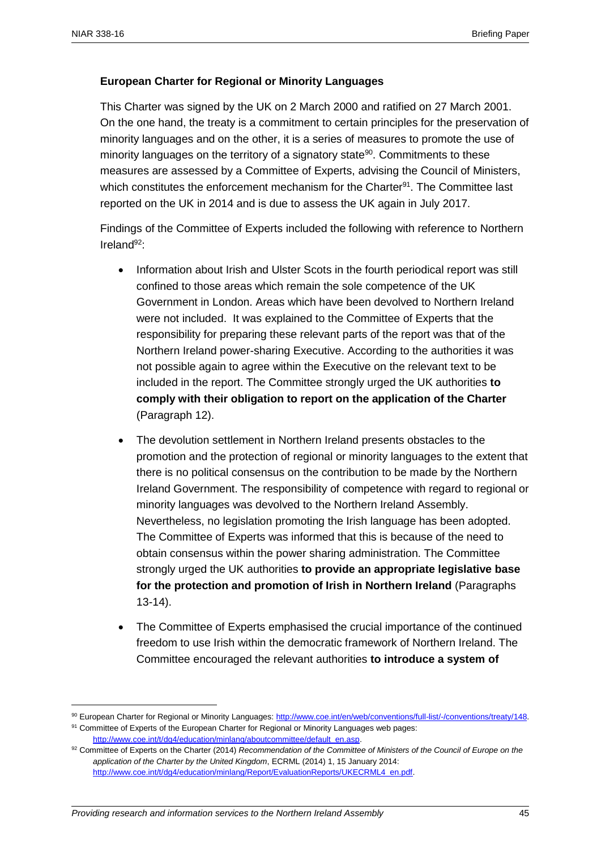## **European Charter for Regional or Minority Languages**

This Charter was signed by the UK on 2 March 2000 and ratified on 27 March 2001. On the one hand, the treaty is a commitment to certain principles for the preservation of minority languages and on the other, it is a series of measures to promote the use of minority languages on the territory of a signatory state<sup>90</sup>. Commitments to these measures are assessed by a Committee of Experts, advising the Council of Ministers, which constitutes the enforcement mechanism for the Charter<sup>91</sup>. The Committee last reported on the UK in 2014 and is due to assess the UK again in July 2017.

Findings of the Committee of Experts included the following with reference to Northern Ireland $92$ .

- Information about Irish and Ulster Scots in the fourth periodical report was still confined to those areas which remain the sole competence of the UK Government in London. Areas which have been devolved to Northern Ireland were not included. It was explained to the Committee of Experts that the responsibility for preparing these relevant parts of the report was that of the Northern Ireland power-sharing Executive. According to the authorities it was not possible again to agree within the Executive on the relevant text to be included in the report. The Committee strongly urged the UK authorities **to comply with their obligation to report on the application of the Charter** (Paragraph 12).
- The devolution settlement in Northern Ireland presents obstacles to the promotion and the protection of regional or minority languages to the extent that there is no political consensus on the contribution to be made by the Northern Ireland Government. The responsibility of competence with regard to regional or minority languages was devolved to the Northern Ireland Assembly. Nevertheless, no legislation promoting the Irish language has been adopted. The Committee of Experts was informed that this is because of the need to obtain consensus within the power sharing administration. The Committee strongly urged the UK authorities **to provide an appropriate legislative base for the protection and promotion of Irish in Northern Ireland** (Paragraphs 13-14).
- The Committee of Experts emphasised the crucial importance of the continued freedom to use Irish within the democratic framework of Northern Ireland. The Committee encouraged the relevant authorities **to introduce a system of**

<sup>90</sup> European Charter for Regional or Minority Languages[: http://www.coe.int/en/web/conventions/full-list/-/conventions/treaty/148.](http://www.coe.int/en/web/conventions/full-list/-/conventions/treaty/148) 91 Committee of Experts of the European Charter for Regional or Minority Languages web pages:

[http://www.coe.int/t/dg4/education/minlang/aboutcommittee/default\\_en.asp.](http://www.coe.int/t/dg4/education/minlang/aboutcommittee/default_en.asp) 

<sup>92</sup> Committee of Experts on the Charter (2014) *Recommendation of the Committee of Ministers of the Council of Europe on the application of the Charter by the United Kingdom*, ECRML (2014) 1, 15 January 2014: [http://www.coe.int/t/dg4/education/minlang/Report/EvaluationReports/UKECRML4\\_en.pdf.](http://www.coe.int/t/dg4/education/minlang/Report/EvaluationReports/UKECRML4_en.pdf)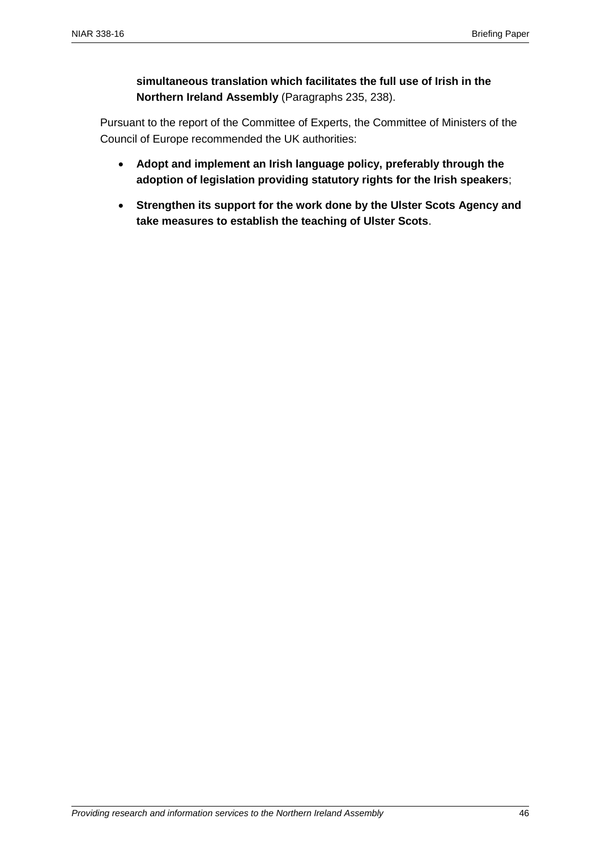**simultaneous translation which facilitates the full use of Irish in the Northern Ireland Assembly** (Paragraphs 235, 238).

Pursuant to the report of the Committee of Experts, the Committee of Ministers of the Council of Europe recommended the UK authorities:

- **Adopt and implement an Irish language policy, preferably through the adoption of legislation providing statutory rights for the Irish speakers**;
- **Strengthen its support for the work done by the Ulster Scots Agency and take measures to establish the teaching of Ulster Scots**.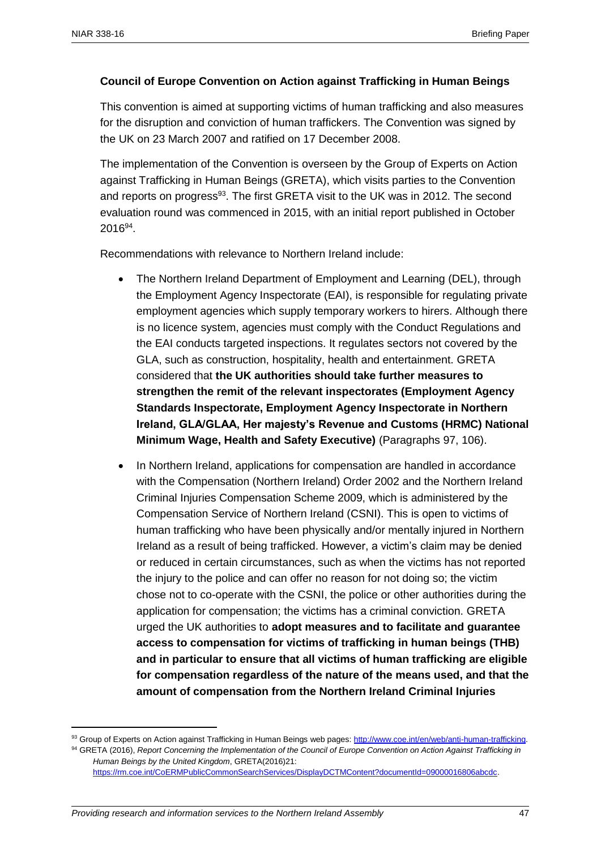## **Council of Europe Convention on Action against Trafficking in Human Beings**

This convention is aimed at supporting victims of human trafficking and also measures for the disruption and conviction of human traffickers. The Convention was signed by the UK on 23 March 2007 and ratified on 17 December 2008.

The implementation of the Convention is overseen by the Group of Experts on Action against Trafficking in Human Beings (GRETA), which visits parties to the Convention and reports on progress<sup>93</sup>. The first GRETA visit to the UK was in 2012. The second evaluation round was commenced in 2015, with an initial report published in October  $2016^{94}$ .

Recommendations with relevance to Northern Ireland include:

- The Northern Ireland Department of Employment and Learning (DEL), through the Employment Agency Inspectorate (EAI), is responsible for regulating private employment agencies which supply temporary workers to hirers. Although there is no licence system, agencies must comply with the Conduct Regulations and the EAI conducts targeted inspections. It regulates sectors not covered by the GLA, such as construction, hospitality, health and entertainment. GRETA considered that **the UK authorities should take further measures to strengthen the remit of the relevant inspectorates (Employment Agency Standards Inspectorate, Employment Agency Inspectorate in Northern Ireland, GLA/GLAA, Her majesty's Revenue and Customs (HRMC) National Minimum Wage, Health and Safety Executive)** (Paragraphs 97, 106).
- In Northern Ireland, applications for compensation are handled in accordance with the Compensation (Northern Ireland) Order 2002 and the Northern Ireland Criminal Injuries Compensation Scheme 2009, which is administered by the Compensation Service of Northern Ireland (CSNI). This is open to victims of human trafficking who have been physically and/or mentally injured in Northern Ireland as a result of being trafficked. However, a victim's claim may be denied or reduced in certain circumstances, such as when the victims has not reported the injury to the police and can offer no reason for not doing so; the victim chose not to co-operate with the CSNI, the police or other authorities during the application for compensation; the victims has a criminal conviction. GRETA urged the UK authorities to **adopt measures and to facilitate and guarantee access to compensation for victims of trafficking in human beings (THB) and in particular to ensure that all victims of human trafficking are eligible for compensation regardless of the nature of the means used, and that the amount of compensation from the Northern Ireland Criminal Injuries**

<sup>93</sup> Group of Experts on Action against Trafficking in Human Beings web pages[: http://www.coe.int/en/web/anti-human-trafficking.](http://www.coe.int/en/web/anti-human-trafficking) <sup>94</sup> GRETA (2016), *Report Concerning the Implementation of the Council of Europe Convention on Action Against Trafficking in Human Beings by the United Kingdom*, GRETA(2016)21: [https://rm.coe.int/CoERMPublicCommonSearchServices/DisplayDCTMContent?documentId=09000016806abcdc.](https://rm.coe.int/CoERMPublicCommonSearchServices/DisplayDCTMContent?documentId=09000016806abcdc)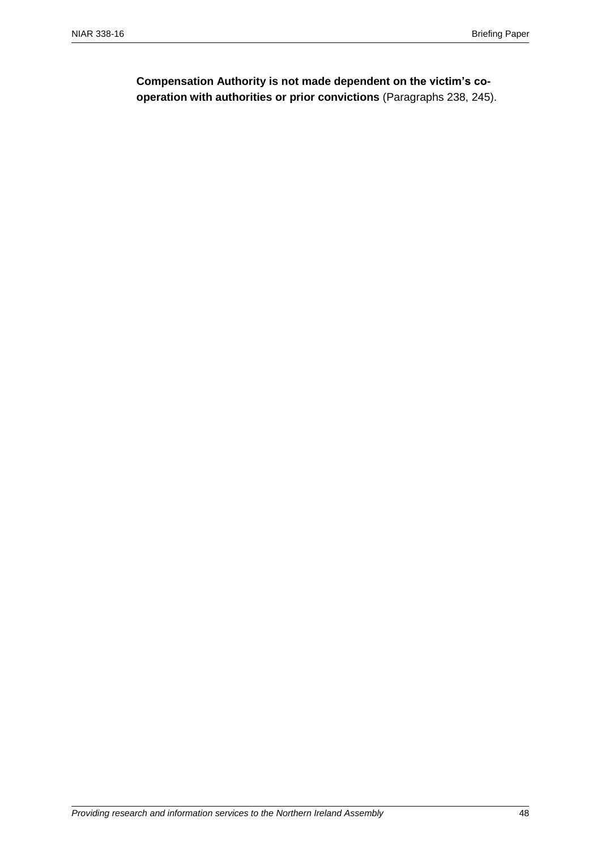**Compensation Authority is not made dependent on the victim's cooperation with authorities or prior convictions** (Paragraphs 238, 245).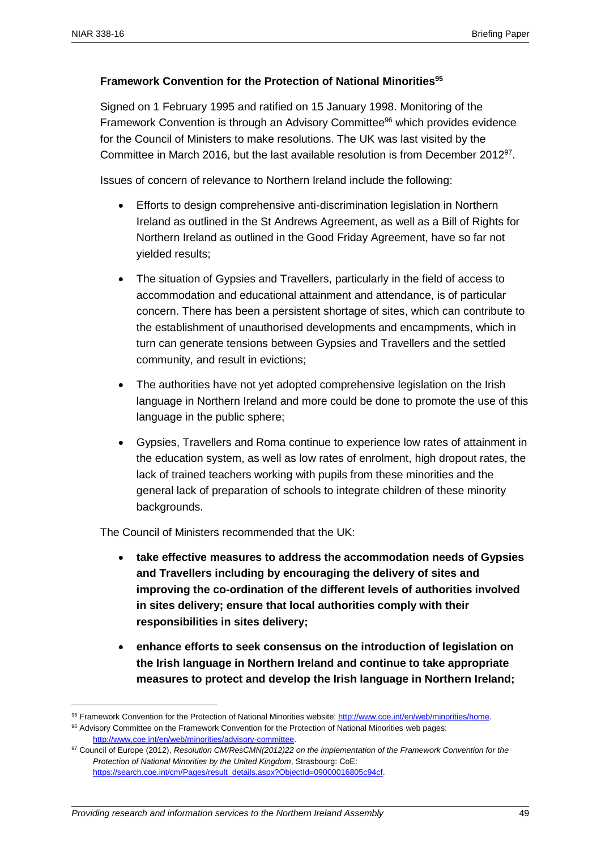## **Framework Convention for the Protection of National Minorities<sup>95</sup>**

Signed on 1 February 1995 and ratified on 15 January 1998. Monitoring of the Framework Convention is through an Advisory Committee<sup>96</sup> which provides evidence for the Council of Ministers to make resolutions. The UK was last visited by the Committee in March 2016, but the last available resolution is from December 2012<sup>97</sup>.

Issues of concern of relevance to Northern Ireland include the following:

- Efforts to design comprehensive anti-discrimination legislation in Northern Ireland as outlined in the St Andrews Agreement, as well as a Bill of Rights for Northern Ireland as outlined in the Good Friday Agreement, have so far not yielded results;
- The situation of Gypsies and Travellers, particularly in the field of access to accommodation and educational attainment and attendance, is of particular concern. There has been a persistent shortage of sites, which can contribute to the establishment of unauthorised developments and encampments, which in turn can generate tensions between Gypsies and Travellers and the settled community, and result in evictions;
- The authorities have not yet adopted comprehensive legislation on the Irish language in Northern Ireland and more could be done to promote the use of this language in the public sphere;
- Gypsies, Travellers and Roma continue to experience low rates of attainment in the education system, as well as low rates of enrolment, high dropout rates, the lack of trained teachers working with pupils from these minorities and the general lack of preparation of schools to integrate children of these minority backgrounds.

The Council of Ministers recommended that the UK:

- **take effective measures to address the accommodation needs of Gypsies and Travellers including by encouraging the delivery of sites and improving the co-ordination of the different levels of authorities involved in sites delivery; ensure that local authorities comply with their responsibilities in sites delivery;**
- **enhance efforts to seek consensus on the introduction of legislation on the Irish language in Northern Ireland and continue to take appropriate measures to protect and develop the Irish language in Northern Ireland;**

<sup>95</sup> Framework Convention for the Protection of National Minorities website: [http://www.coe.int/en/web/minorities/home.](http://www.coe.int/en/web/minorities/home)

<sup>96</sup> Advisory Committee on the Framework Convention for the Protection of National Minorities web pages: [http://www.coe.int/en/web/minorities/advisory-committee.](http://www.coe.int/en/web/minorities/advisory-committee) 

<sup>97</sup> Council of Europe (2012), *Resolution CM/ResCMN(2012)22 on the implementation of the Framework Convention for the Protection of National Minorities by the United Kingdom*, Strasbourg: CoE: [https://search.coe.int/cm/Pages/result\\_details.aspx?ObjectId=09000016805c94cf.](https://search.coe.int/cm/Pages/result_details.aspx?ObjectId=09000016805c94cf)